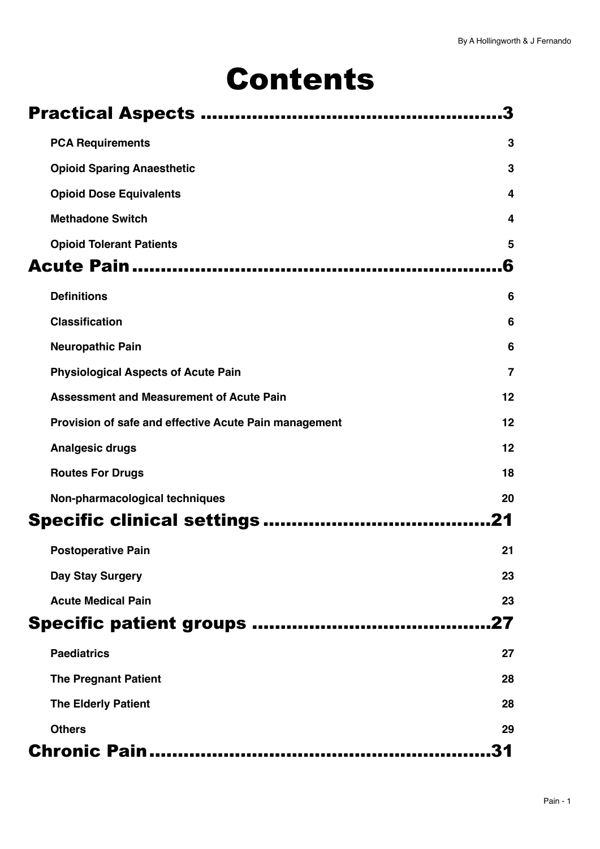# Contents

|                                                       | 3              |
|-------------------------------------------------------|----------------|
| <b>PCA Requirements</b>                               | 3              |
| <b>Opioid Sparing Anaesthetic</b>                     | 3              |
| <b>Opioid Dose Equivalents</b>                        | 4              |
| <b>Methadone Switch</b>                               | 4              |
| <b>Opioid Tolerant Patients</b>                       | 5              |
|                                                       | 6              |
| <b>Definitions</b>                                    | 6              |
| <b>Classification</b>                                 | 6              |
| <b>Neuropathic Pain</b>                               | 6              |
| <b>Physiological Aspects of Acute Pain</b>            | $\overline{7}$ |
| <b>Assessment and Measurement of Acute Pain</b>       | 12             |
| Provision of safe and effective Acute Pain management | 12             |
| <b>Analgesic drugs</b>                                | 12             |
| <b>Routes For Drugs</b>                               | 18             |
| Non-pharmacological techniques                        | 20             |
|                                                       | .21            |
| <b>Postoperative Pain</b>                             | 21             |
| Day Stay Surgery                                      | 23             |
| <b>Acute Medical Pain</b>                             | 23             |
|                                                       | .27            |
| <b>Paediatrics</b>                                    | 27             |
| <b>The Pregnant Patient</b>                           | 28             |
| <b>The Elderly Patient</b>                            | 28             |
| <b>Others</b>                                         | 29             |
|                                                       | 31             |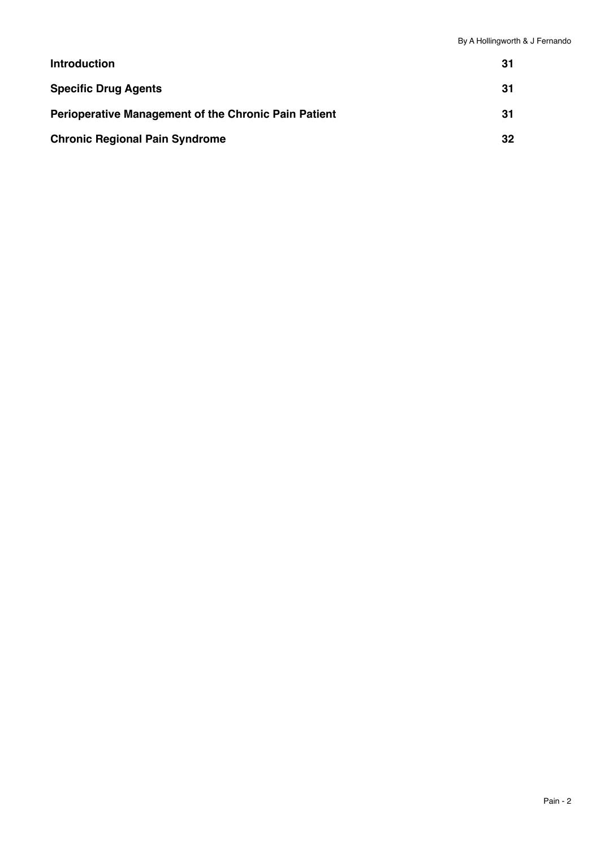| <b>Introduction</b>                                         | 31  |
|-------------------------------------------------------------|-----|
| <b>Specific Drug Agents</b>                                 | -31 |
| <b>Perioperative Management of the Chronic Pain Patient</b> | 31  |
| <b>Chronic Regional Pain Syndrome</b>                       | 32  |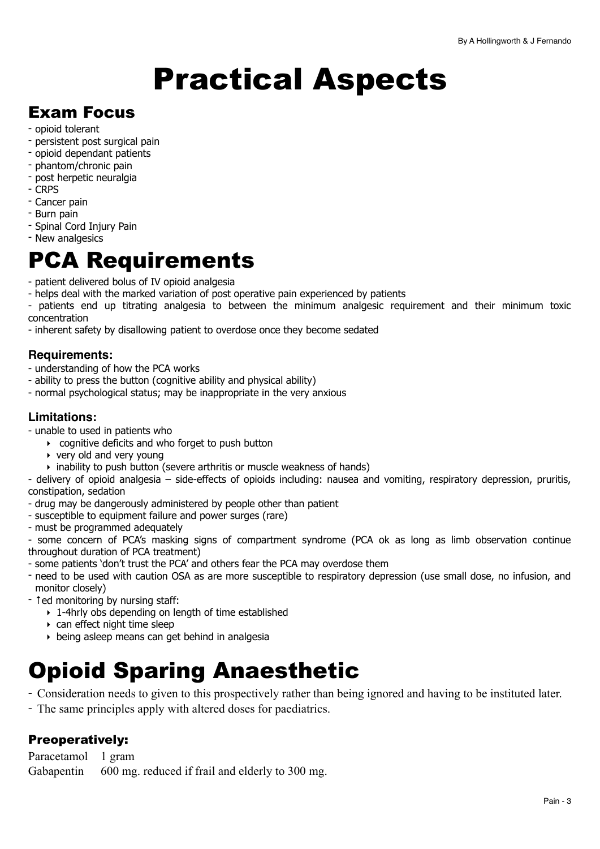# <span id="page-2-0"></span>Practical Aspects

# Exam Focus

- opioid tolerant
- persistent post surgical pain
- opioid dependant patients
- phantom/chronic pain
- post herpetic neuralgia
- CRPS
- Cancer pain
- Burn pain
- Spinal Cord Injury Pain
- New analgesics

# <span id="page-2-1"></span>PCA Requirements

- patient delivered bolus of IV opioid analgesia

- helps deal with the marked variation of post operative pain experienced by patients
- patients end up titrating analgesia to between the minimum analgesic requirement and their minimum toxic concentration
- inherent safety by disallowing patient to overdose once they become sedated

### **Requirements:**

- understanding of how the PCA works
- ability to press the button (cognitive ability and physical ability)
- normal psychological status; may be inappropriate in the very anxious

## **Limitations:**

- unable to used in patients who

- ‣ cognitive deficits and who forget to push button
- $\rightarrow$  very old and very young
- ‣ inability to push button (severe arthritis or muscle weakness of hands)

- delivery of opioid analgesia – side-effects of opioids including: nausea and vomiting, respiratory depression, pruritis, constipation, sedation

- drug may be dangerously administered by people other than patient
- susceptible to equipment failure and power surges (rare)
- must be programmed adequately

- some concern of PCA's masking signs of compartment syndrome (PCA ok as long as limb observation continue throughout duration of PCA treatment)

- some patients 'don't trust the PCA' and others fear the PCA may overdose them
- need to be used with caution OSA as are more susceptible to respiratory depression (use small dose, no infusion, and monitor closely)
- ↑ed monitoring by nursing staff:
	- ‣ 1-4hrly obs depending on length of time established
	- $\rightarrow$  can effect night time sleep
	- ‣ being asleep means can get behind in analgesia

# <span id="page-2-2"></span>Opioid Sparing Anaesthetic

- Consideration needs to given to this prospectively rather than being ignored and having to be instituted later.
- The same principles apply with altered doses for paediatrics.

# Preoperatively:

Paracetamol 1 gram Gabapentin 600 mg. reduced if frail and elderly to 300 mg.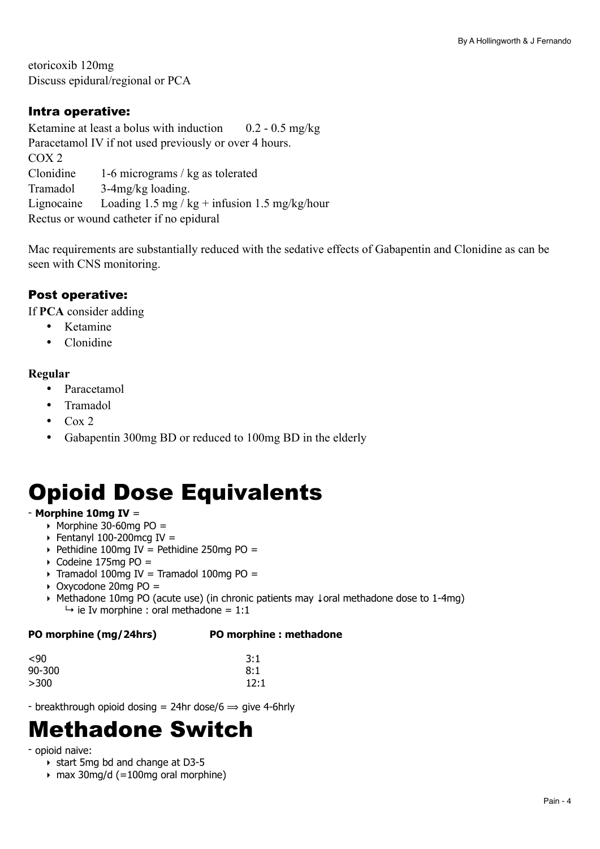etoricoxib 120mg Discuss epidural/regional or PCA

# Intra operative:

Ketamine at least a bolus with induction  $0.2 - 0.5$  mg/kg Paracetamol IV if not used previously or over 4 hours. COX 2 Clonidine 1-6 micrograms / kg as tolerated Tramadol 3-4mg/kg loading. Lignocaine Loading  $1.5 \text{ mg/kg} + \text{infusion} 1.5 \text{ mg/kg/hour}$ Rectus or wound catheter if no epidural

Mac requirements are substantially reduced with the sedative effects of Gabapentin and Clonidine as can be seen with CNS monitoring.

# Post operative:

If **PCA** consider adding

- Ketamine
- Clonidine

### **Regular**

- Paracetamol
- Tramadol
- $\bullet$  Cox 2
- Gabapentin 300mg BD or reduced to 100mg BD in the elderly

# <span id="page-3-0"></span>Opioid Dose Equivalents

# - **Morphine 10mg IV** =

- $\rightarrow$  Morphine 30-60mg PO =
- $\triangleright$  Fentanyl 100-200mcg IV =
- $\rightarrow$  Pethidine 100mg IV = Pethidine 250mg PO =
- $\rightarrow$  Codeine 175mg PO =
- $\rightarrow$  Tramadol 100mg IV = Tramadol 100mg PO =
- $\rightarrow$  Oxycodone 20mg PO =
- ‣ Methadone 10mg PO (acute use) (in chronic patients may ↓oral methadone dose to 1-4mg)  $\rightarrow$  ie Iv morphine : oral methadone = 1:1

# **PO morphine (mg/24hrs) PO morphine : methadone**

| $90$   | 3:1  |
|--------|------|
| 90-300 | 8:1  |
| >300   | 12:1 |

- breakthrough opioid dosing = 24hr dose/6  $\Rightarrow$  give 4-6hrly

# <span id="page-3-1"></span>Methadone Switch

### - opioid naive:

- ‣ start 5mg bd and change at D3-5
- ‣ max 30mg/d (=100mg oral morphine)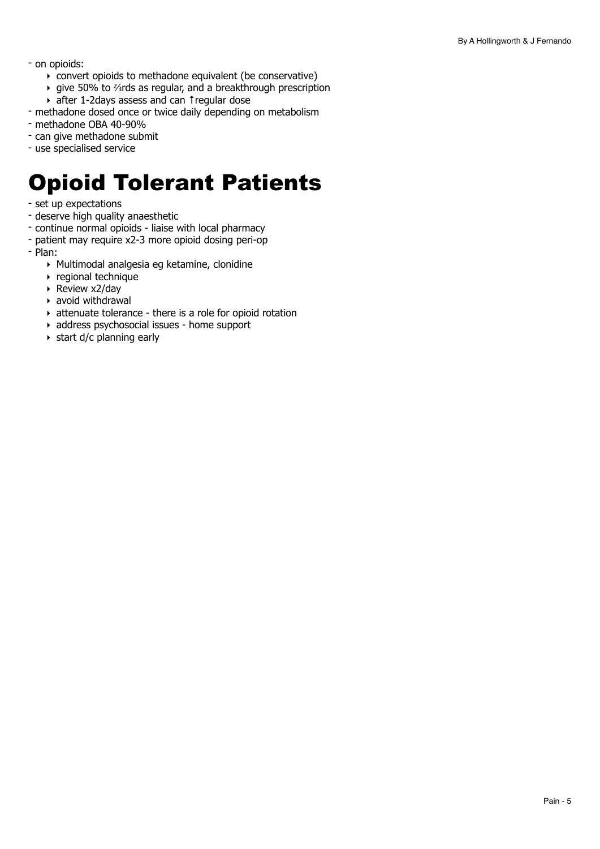- on opioids:
	- ‣ convert opioids to methadone equivalent (be conservative)
	- ‣ give 50% to ⅔rds as regular, and a breakthrough prescription
	- ‣ after 1-2days assess and can ↑regular dose
- methadone dosed once or twice daily depending on metabolism
- methadone OBA 40-90%
- can give methadone submit
- use specialised service

# <span id="page-4-0"></span>Opioid Tolerant Patients

- set up expectations
- deserve high quality anaesthetic
- continue normal opioids liaise with local pharmacy
- patient may require x2-3 more opioid dosing peri-op
- Plan:
	- ‣ Multimodal analgesia eg ketamine, clonidine
	- ‣ regional technique
	- ‣ Review x2/day
	- $\rightarrow$  avoid withdrawal
	- ‣ attenuate tolerance there is a role for opioid rotation
	- ‣ address psychosocial issues home support
	- ‣ start d/c planning early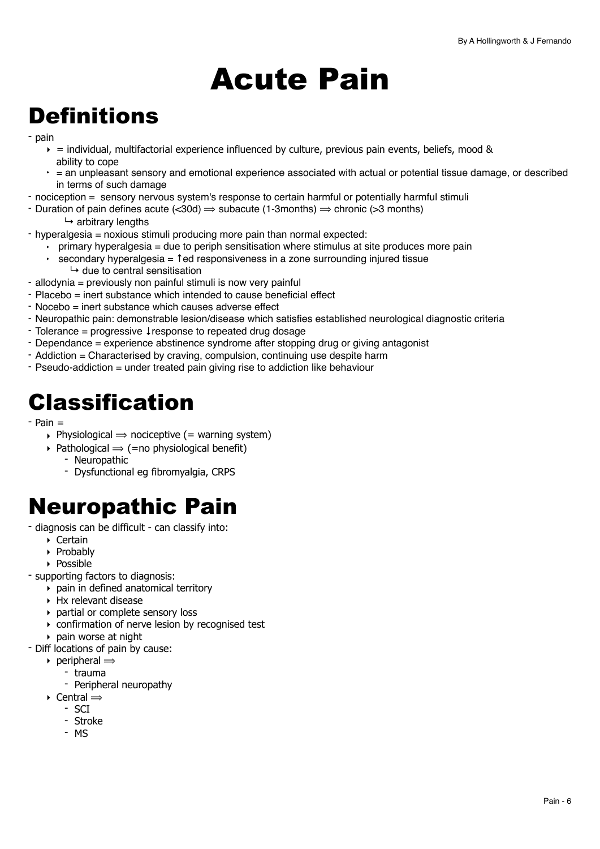# <span id="page-5-0"></span>Acute Pain

# <span id="page-5-1"></span>**Definitions**

- pain
	- $\epsilon$  = individual, multifactorial experience influenced by culture, previous pain events, beliefs, mood & ability to cope
	- $\epsilon$  = an unpleasant sensory and emotional experience associated with actual or potential tissue damage, or described in terms of such damage
- nociception = sensory nervous system's response to certain harmful or potentially harmful stimuli
- Duration of pain defines acute  $\langle 30d \rangle \Rightarrow$  subacute (1-3months)  $\Rightarrow$  chronic ( $>3$  months)
	- $ightharpoonup$  arbitrary lengths
- hyperalgesia = noxious stimuli producing more pain than normal expected:
	- ‣ primary hyperalgesia = due to periph sensitisation where stimulus at site produces more pain
	- secondary hyperalgesia = 1ed responsiveness in a zone surrounding injured tissue
		- $\mapsto$  due to central sensitisation
- allodynia = previously non painful stimuli is now very painful
- Placebo = inert substance which intended to cause beneficial effect
- Nocebo = inert substance which causes adverse effect
- Neuropathic pain: demonstrable lesion/disease which satisfies established neurological diagnostic criteria
- Tolerance = progressive ↓response to repeated drug dosage
- Dependance = experience abstinence syndrome after stopping drug or giving antagonist
- Addiction = Characterised by craving, compulsion, continuing use despite harm
- Pseudo-addiction = under treated pain giving rise to addiction like behaviour

# <span id="page-5-2"></span>Classification

- Pain =
	- $\rightarrow$  Physiological  $\rightarrow$  nociceptive (= warning system)
	- $\rightarrow$  Pathological  $\rightarrow$  (=no physiological benefit)
		- Neuropathic
		- Dysfunctional eg fibromyalgia, CRPS

# <span id="page-5-3"></span>Neuropathic Pain

- diagnosis can be difficult can classify into:
	- ‣ Certain
	- ‣ Probably
	- ‣ Possible
- supporting factors to diagnosis:
	- ‣ pain in defined anatomical territory
	- $\triangleright$  Hx relevant disease
	- ‣ partial or complete sensory loss
	- ‣ confirmation of nerve lesion by recognised test
	- ‣ pain worse at night
- Diff locations of pain by cause:
	- $\rightarrow$  peripheral  $\Rightarrow$ 
		- trauma
		- Peripheral neuropathy
	- $\rightarrow$  Central  $\Rightarrow$ 
		- SCI
		- Stroke
		- MS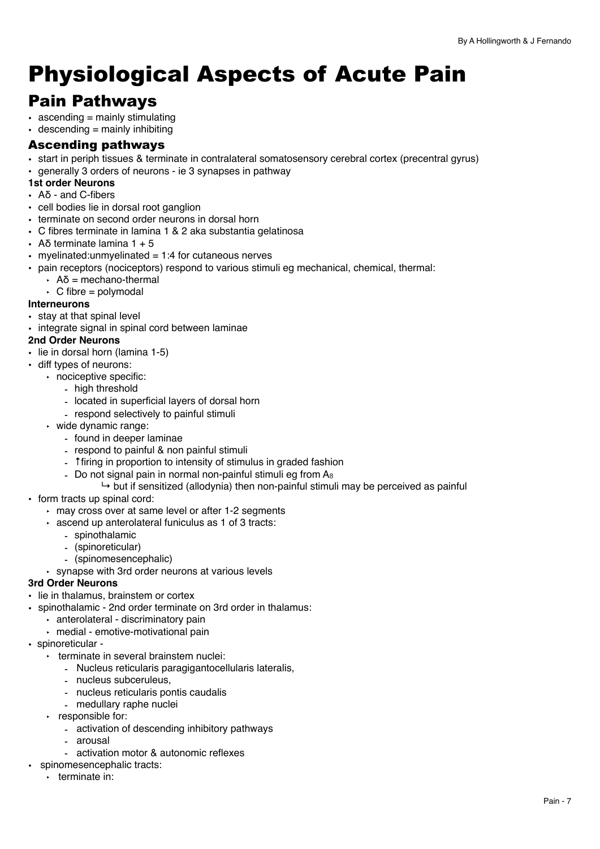# <span id="page-6-0"></span>Physiological Aspects of Acute Pain

# Pain Pathways

- $\bullet$  ascending = mainly stimulating
- $\cdot$  descending = mainly inhibiting

# Ascending pathways

- start in periph tissues & terminate in contralateral somatosensory cerebral cortex (precentral gyrus)
- generally 3 orders of neurons ie 3 synapses in pathway

### **1st order Neurons**

- Aδ and C-fibers
- cell bodies lie in dorsal root ganglion
- terminate on second order neurons in dorsal horn
- C fibres terminate in lamina 1 & 2 aka substantia gelatinosa
- $\cdot$  Aδ terminate lamina 1 + 5
- myelinated: unmyelinated  $= 1:4$  for cutaneous nerves
- pain receptors (nociceptors) respond to various stimuli eg mechanical, chemical, thermal:
	- $\cdot$  Aδ = mechano-thermal
	- $\cdot$  C fibre = polymodal

#### **Interneurons**

- stay at that spinal level
- integrate signal in spinal cord between laminae

#### **2nd Order Neurons**

- lie in dorsal horn (lamina 1-5)
- diff types of neurons:
	- ‣ nociceptive specific:
		- high threshold
		- located in superficial layers of dorsal horn
		- respond selectively to painful stimuli
	- ‣ wide dynamic range:
		- found in deeper laminae
		- respond to painful & non painful stimuli
		- ↑firing in proportion to intensity of stimulus in graded fashion
		- Do not signal pain in normal non-painful stimuli eg from  $A_B$ 
			- $\rightarrow$  but if sensitized (allodynia) then non-painful stimuli may be perceived as painful
- form tracts up spinal cord:
	- ‣ may cross over at same level or after 1-2 segments
	- ‣ ascend up anterolateral funiculus as 1 of 3 tracts:
		- spinothalamic
		- (spinoreticular)
		- (spinomesencephalic)
	- ‣ synapse with 3rd order neurons at various levels

#### **3rd Order Neurons**

- lie in thalamus, brainstem or cortex
- spinothalamic 2nd order terminate on 3rd order in thalamus:
	- ‣ anterolateral discriminatory pain
	- ‣ medial emotive-motivational pain
- spinoreticular
	- ‣ terminate in several brainstem nuclei:
		- Nucleus reticularis paragigantocellularis lateralis,
		- nucleus subceruleus,
		- nucleus reticularis pontis caudalis
		- medullary raphe nuclei
	- ‣ responsible for:
		- activation of descending inhibitory pathways
		- arousal
		- activation motor & autonomic reflexes
- spinomesencephalic tracts:
	- ‣ terminate in: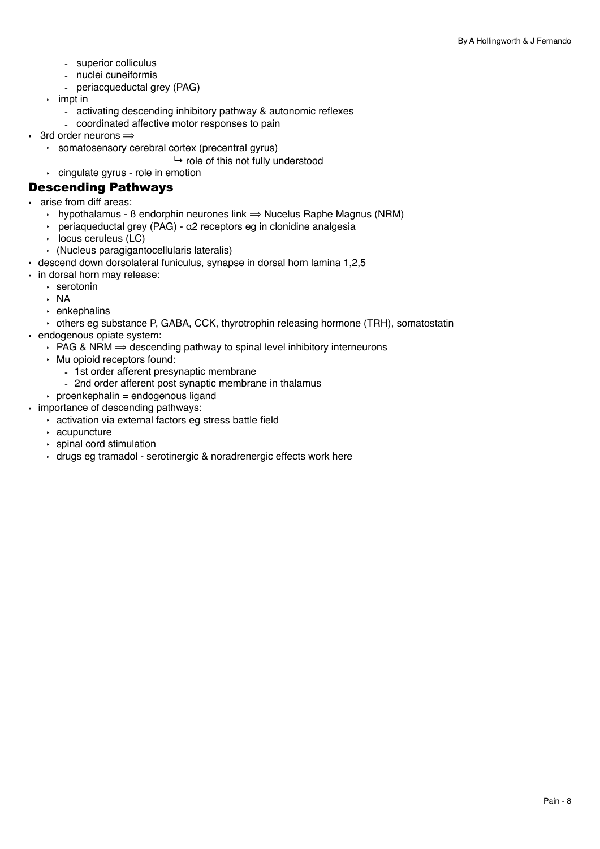- superior colliculus
- nuclei cuneiformis
- periacqueductal grey (PAG)
- ‣ impt in
	- activating descending inhibitory pathway & autonomic reflexes
	- coordinated affective motor responses to pain
- 3rd order neurons  $\Rightarrow$ 
	- ‣ somatosensory cerebral cortex (precentral gyrus)
		- $\mapsto$  role of this not fully understood
	- ‣ cingulate gyrus role in emotion

#### Descending Pathways

- arise from diff areas:
	- $\cdot$  hypothalamus ß endorphin neurones link  $\Rightarrow$  Nucelus Raphe Magnus (NRM)
	- ‣ periaqueductal grey (PAG) α2 receptors eg in clonidine analgesia
	- ‣ locus ceruleus (LC)
	- ‣ (Nucleus paragigantocellularis lateralis)
- descend down dorsolateral funiculus, synapse in dorsal horn lamina 1,2,5
- in dorsal horn may release:
	- ‣ serotonin
	- ‣ NA
	- ‣ enkephalins
	- ‣ others eg substance P, GABA, CCK, thyrotrophin releasing hormone (TRH), somatostatin
- endogenous opiate system:
	- $\cdot$  PAG & NRM  $\Rightarrow$  descending pathway to spinal level inhibitory interneurons
	- ‣ Mu opioid receptors found:
		- 1st order afferent presynaptic membrane
		- 2nd order afferent post synaptic membrane in thalamus
	- $\rightarrow$  proenkephalin = endogenous ligand
- importance of descending pathways:
	- ‣ activation via external factors eg stress battle field
		- ‣ acupuncture
		- ‣ spinal cord stimulation
		- ‣ drugs eg tramadol serotinergic & noradrenergic effects work here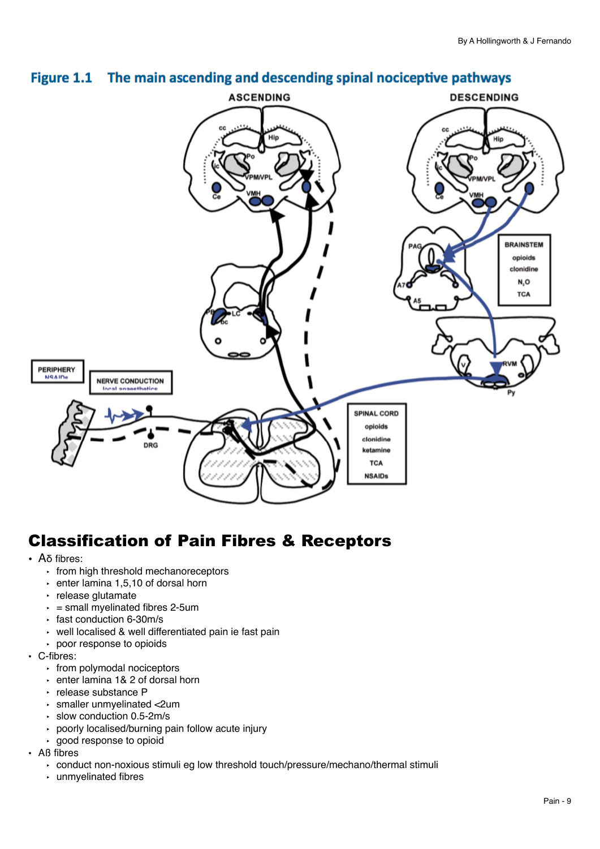

# Figure 1.1 The main ascending and descending spinal nociceptive pathways

# Classification of Pain Fibres & Receptors

- Aδ fibres:
	- ‣ from high threshold mechanoreceptors
	- $\cdot$  enter lamina 1,5,10 of dorsal horn
	- ‣ release glutamate
	- $\cdot$  = small myelinated fibres 2-5um
	- ‣ fast conduction 6-30m/s
	- ‣ well localised & well differentiated pain ie fast pain
	- ‣ poor response to opioids
- C-fibres:
	- ‣ from polymodal nociceptors
	- ‣ enter lamina 1& 2 of dorsal horn
	- ‣ release substance P
	- ‣ smaller unmyelinated <2um
	- ‣ slow conduction 0.5-2m/s
	- ‣ poorly localised/burning pain follow acute injury
	- ‣ good response to opioid
- Aß fibres
	- ‣ conduct non-noxious stimuli eg low threshold touch/pressure/mechano/thermal stimuli
	- ‣ unmyelinated fibres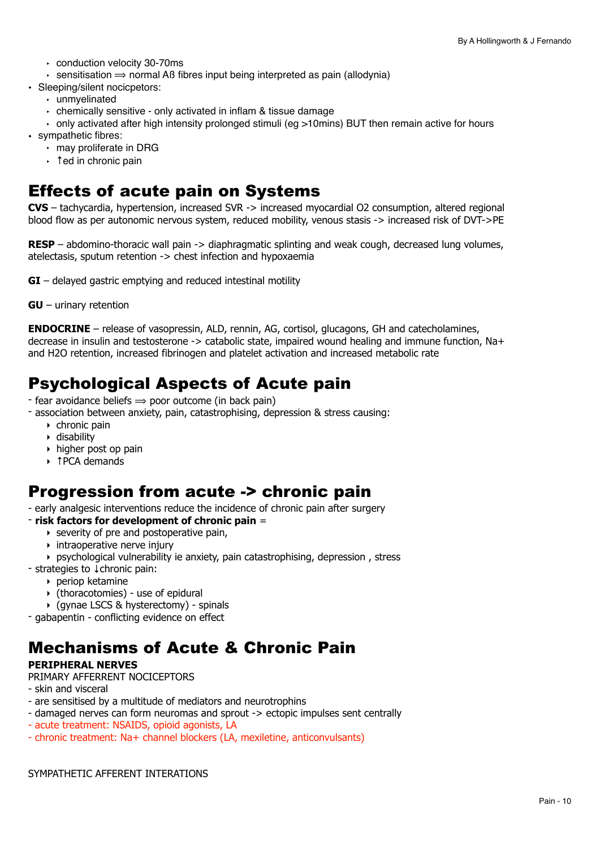- ‣ conduction velocity 30-70ms
- $\cdot$  sensitisation  $\Rightarrow$  normal AB fibres input being interpreted as pain (allodynia)
- Sleeping/silent nocicpetors:
	- ‣ unmyelinated
	- ‣ chemically sensitive only activated in inflam & tissue damage
	- $\cdot$  only activated after high intensity prolonged stimuli (eg >10mins) BUT then remain active for hours
- sympathetic fibres:
	- ‣ may proliferate in DRG
	- ‣ ↑ed in chronic pain

# Effects of acute pain on Systems

**CVS** – tachycardia, hypertension, increased SVR -> increased myocardial O2 consumption, altered regional blood flow as per autonomic nervous system, reduced mobility, venous stasis -> increased risk of DVT->PE

**RESP** – abdomino-thoracic wall pain -> diaphragmatic splinting and weak cough, decreased lung volumes, atelectasis, sputum retention -> chest infection and hypoxaemia

**GI** – delayed gastric emptying and reduced intestinal motility

**GU** – urinary retention

**ENDOCRINE** – release of vasopressin, ALD, rennin, AG, cortisol, glucagons, GH and catecholamines, decrease in insulin and testosterone -> catabolic state, impaired wound healing and immune function, Na+ and H2O retention, increased fibrinogen and platelet activation and increased metabolic rate

# Psychological Aspects of Acute pain

- $-$  fear avoidance beliefs  $\Rightarrow$  poor outcome (in back pain)
- association between anxiety, pain, catastrophising, depression & stress causing:
	- ‣ chronic pain
	- ‣ disability
	- ‣ higher post op pain
	- ‣ ↑PCA demands

# Progression from acute -> chronic pain

- early analgesic interventions reduce the incidence of chronic pain after surgery

#### - **risk factors for development of chronic pain** =

- $\triangleright$  severity of pre and postoperative pain,
- $\rightarrow$  intraoperative nerve injury
- ‣ psychological vulnerability ie anxiety, pain catastrophising, depression , stress
- strategies to ↓chronic pain:
	- ‣ periop ketamine
	- ‣ (thoracotomies) use of epidural
	- ‣ (gynae LSCS & hysterectomy) spinals
- gabapentin conflicting evidence on effect

# Mechanisms of Acute & Chronic Pain

#### **PERIPHERAL NERVES**

#### PRIMARY AFFERRENT NOCICEPTORS

- skin and visceral
- are sensitised by a multitude of mediators and neurotrophins
- damaged nerves can form neuromas and sprout -> ectopic impulses sent centrally
- acute treatment: NSAIDS, opioid agonists, LA
- chronic treatment: Na+ channel blockers (LA, mexiletine, anticonvulsants)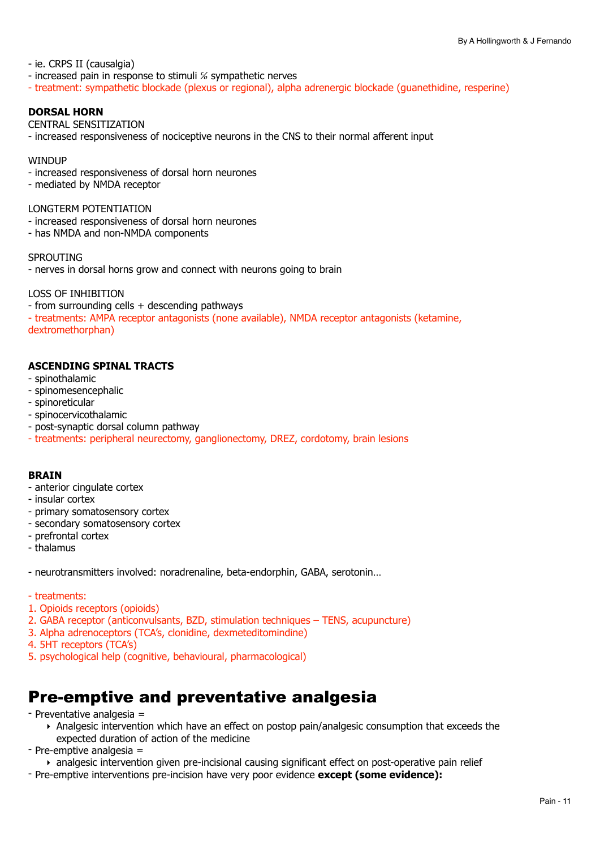- ie. CRPS II (causalgia)

- increased pain in response to stimuli % sympathetic nerves
- treatment: sympathetic blockade (plexus or regional), alpha adrenergic blockade (guanethidine, resperine)

#### **DORSAL HORN**

#### CENTRAL SENSITIZATION

- increased responsiveness of nociceptive neurons in the CNS to their normal afferent input

#### **WINDUP**

- increased responsiveness of dorsal horn neurones
- mediated by NMDA receptor

#### LONGTERM POTENTIATION

- increased responsiveness of dorsal horn neurones
- has NMDA and non-NMDA components

#### **SPROUTING**

- nerves in dorsal horns grow and connect with neurons going to brain

#### LOSS OF INHIBITION

- from surrounding cells + descending pathways

- treatments: AMPA receptor antagonists (none available), NMDA receptor antagonists (ketamine, dextromethorphan)

#### **ASCENDING SPINAL TRACTS**

- spinothalamic
- spinomesencephalic
- spinoreticular
- spinocervicothalamic
- post-synaptic dorsal column pathway
- treatments: peripheral neurectomy, ganglionectomy, DREZ, cordotomy, brain lesions

#### **BRAIN**

- anterior cingulate cortex
- insular cortex
- primary somatosensory cortex
- secondary somatosensory cortex
- prefrontal cortex
- thalamus
- neurotransmitters involved: noradrenaline, beta-endorphin, GABA, serotonin…
- treatments:
- 1. Opioids receptors (opioids)
- 2. GABA receptor (anticonvulsants, BZD, stimulation techniques TENS, acupuncture)
- 3. Alpha adrenoceptors (TCA's, clonidine, dexmeteditomindine)
- 4. 5HT receptors (TCA's)
- 5. psychological help (cognitive, behavioural, pharmacological)

# Pre-emptive and preventative analgesia

- Preventative analgesia =
	- ‣ Analgesic intervention which have an effect on postop pain/analgesic consumption that exceeds the expected duration of action of the medicine
- Pre-emptive analgesia =
	- ‣ analgesic intervention given pre-incisional causing significant effect on post-operative pain relief
- Pre-emptive interventions pre-incision have very poor evidence **except (some evidence):**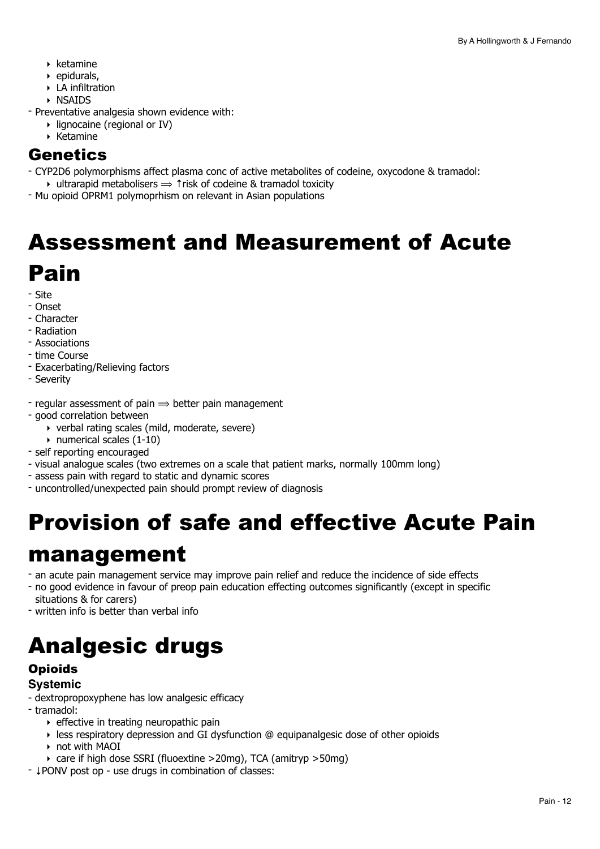- ‣ ketamine
- $\rightarrow$  epidurals.
- ‣ LA infiltration
- ‣ NSAIDS
- Preventative analgesia shown evidence with:
	- ‣ lignocaine (regional or IV)
	- ‣ Ketamine

# **Genetics**

- CYP2D6 polymorphisms affect plasma conc of active metabolites of codeine, oxycodone & tramadol:  $\rightarrow$  ultrarapid metabolisers  $\rightarrow$  1 risk of codeine & tramadol toxicity
- Mu opioid OPRM1 polymoprhism on relevant in Asian populations

# <span id="page-11-0"></span>Assessment and Measurement of Acute Pain

- Site
- Onset
- Character
- Radiation
- Associations
- time Course
- Exacerbating/Relieving factors
- Severity
- regular assessment of pain  $\Rightarrow$  better pain management
- good correlation between
	- ‣ verbal rating scales (mild, moderate, severe)
	- $\rightarrow$  numerical scales (1-10)
- self reporting encouraged
- visual analogue scales (two extremes on a scale that patient marks, normally 100mm long)
- assess pain with regard to static and dynamic scores
- uncontrolled/unexpected pain should prompt review of diagnosis

# <span id="page-11-1"></span>Provision of safe and effective Acute Pain

# management

- an acute pain management service may improve pain relief and reduce the incidence of side effects
- no good evidence in favour of preop pain education effecting outcomes significantly (except in specific
- situations & for carers)
- written info is better than verbal info

# <span id="page-11-2"></span>Analgesic drugs

### **Opioids Systemic**

- dextropropoxyphene has low analgesic efficacy
- tramadol:
	- $\rightarrow$  effective in treating neuropathic pain
	- $\rightarrow$  less respiratory depression and GI dysfunction @ equipanalgesic dose of other opioids
	- ‣ not with MAOI
	- ‣ care if high dose SSRI (fluoextine >20mg), TCA (amitryp >50mg)
- ↓PONV post op use drugs in combination of classes: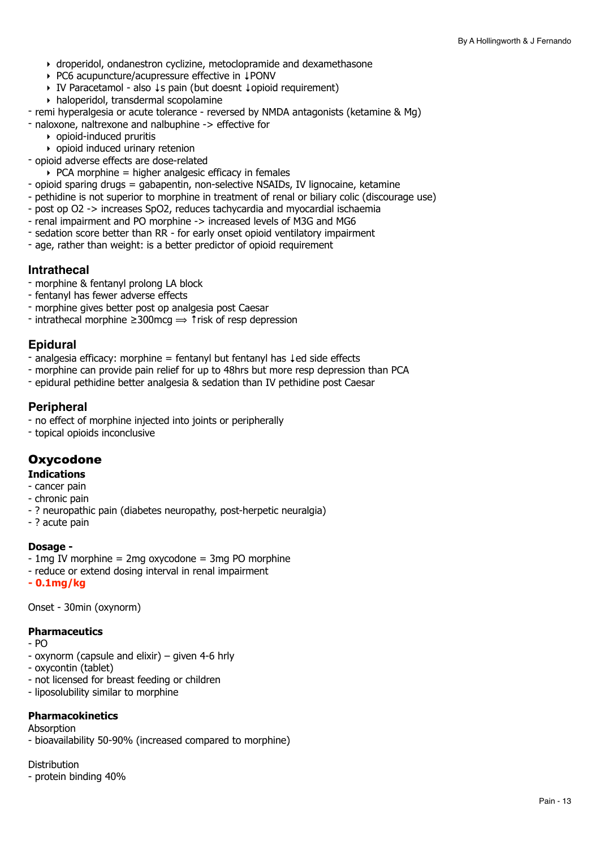- ‣ droperidol, ondanestron cyclizine, metoclopramide and dexamethasone
- ‣ PC6 acupuncture/acupressure effective in ↓PONV
- ‣ IV Paracetamol also ↓s pain (but doesnt ↓opioid requirement)
- ‣ haloperidol, transdermal scopolamine
- remi hyperalgesia or acute tolerance reversed by NMDA antagonists (ketamine & Mg)
- naloxone, naltrexone and nalbuphine -> effective for
	- ‣ opioid-induced pruritis
	- ‣ opioid induced urinary retenion
- opioid adverse effects are dose-related
	- $\rightarrow$  PCA morphine = higher analgesic efficacy in females
- opioid sparing drugs = gabapentin, non-selective NSAIDs, IV lignocaine, ketamine
- pethidine is not superior to morphine in treatment of renal or biliary colic (discourage use)
- post op O2 -> increases SpO2, reduces tachycardia and myocardial ischaemia
- renal impairment and PO morphine -> increased levels of M3G and MG6
- sedation score better than RR for early onset opioid ventilatory impairment
- age, rather than weight: is a better predictor of opioid requirement

#### **Intrathecal**

- morphine & fentanyl prolong LA block
- fentanyl has fewer adverse effects
- morphine gives better post op analgesia post Caesar
- $\overline{\phantom{a}}$  intrathecal morphine  $\geq 300$  mcg  $\Rightarrow \overline{\phantom{a}}$  trisk of resp depression

### **Epidural**

- analgesia efficacy: morphine = fentanyl but fentanyl has ↓ed side effects
- morphine can provide pain relief for up to 48hrs but more resp depression than PCA
- epidural pethidine better analgesia & sedation than IV pethidine post Caesar

#### **Peripheral**

- no effect of morphine injected into joints or peripherally
- topical opioids inconclusive

### **Oxycodone**

#### **Indications**

- cancer pain
- chronic pain
- ? neuropathic pain (diabetes neuropathy, post-herpetic neuralgia)
- ? acute pain

#### **Dosage -**

- $-$  1mg IV morphine = 2mg oxycodone = 3mg PO morphine
- reduce or extend dosing interval in renal impairment
- **0.1mg/kg**

Onset - 30min (oxynorm)

#### **Pharmaceutics**

- PO
- oxynorm (capsule and elixir) given 4-6 hrly
- oxycontin (tablet)
- not licensed for breast feeding or children
- liposolubility similar to morphine

#### **Pharmacokinetics**

#### **Absorption**

- bioavailability 50-90% (increased compared to morphine)

**Distribution** 

- protein binding 40%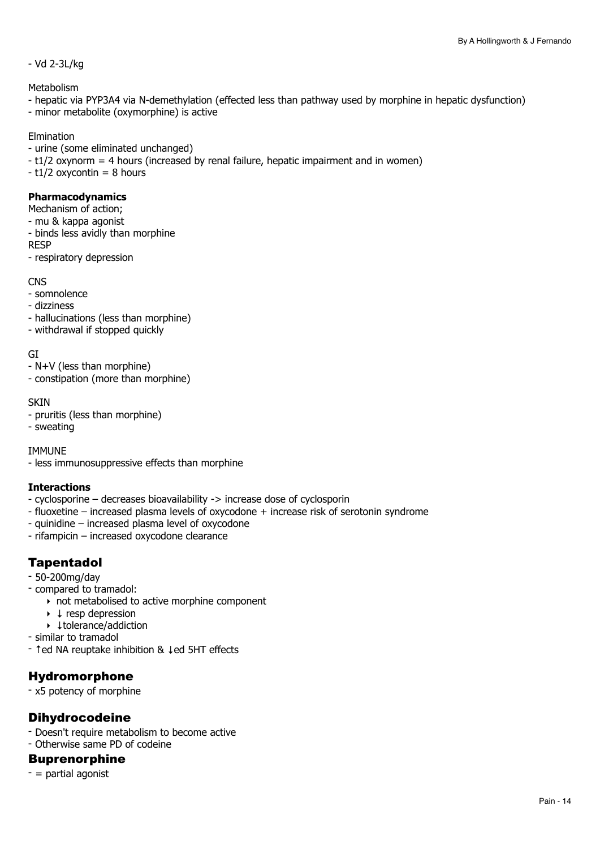#### - Vd 2-3L/kg

Metabolism

- hepatic via PYP3A4 via N-demethylation (effected less than pathway used by morphine in hepatic dysfunction)
- minor metabolite (oxymorphine) is active

#### Elmination

- urine (some eliminated unchanged)
- t1/2 oxynorm = 4 hours (increased by renal failure, hepatic impairment and in women)
- $t1/2$  oxycontin = 8 hours

#### **Pharmacodynamics**

- Mechanism of action;
- mu & kappa agonist
- binds less avidly than morphine
- RESP
- respiratory depression

**CNS** 

- somnolence
- dizziness
- hallucinations (less than morphine)
- withdrawal if stopped quickly

GI

- N+V (less than morphine)
- constipation (more than morphine)

#### **SKIN**

- pruritis (less than morphine)
- sweating

#### IMMUNE

- less immunosuppressive effects than morphine

#### **Interactions**

- cyclosporine decreases bioavailability -> increase dose of cyclosporin
- fluoxetine increased plasma levels of oxycodone + increase risk of serotonin syndrome
- quinidine increased plasma level of oxycodone
- rifampicin increased oxycodone clearance

# Tapentadol

- 50-200mg/day
- compared to tramadol:
	- ‣ not metabolised to active morphine component
	- ‣ ↓ resp depression
	- ‣ ↓tolerance/addiction
- similar to tramadol
- ↑ed NA reuptake inhibition & ↓ed 5HT effects

# Hydromorphone

- x5 potency of morphine

# Dihydrocodeine

- Doesn't require metabolism to become active - Otherwise same PD of codeine

#### Buprenorphine

 $-$  = partial agonist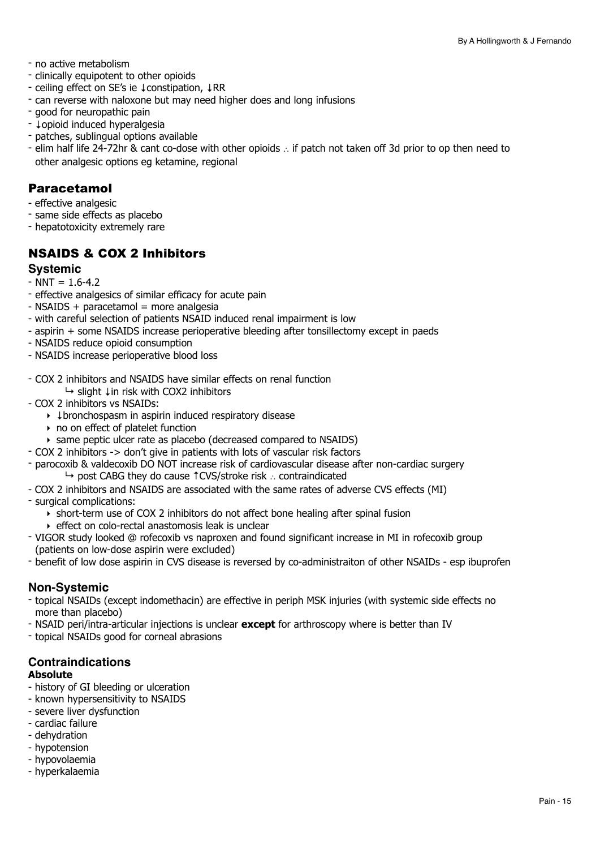- no active metabolism
- clinically equipotent to other opioids
- ceiling effect on SE's ie ↓constipation, ↓RR
- can reverse with naloxone but may need higher does and long infusions
- good for neuropathic pain
- ↓opioid induced hyperalgesia
- patches, sublingual options available
- elim half life 24-72hr & cant co-dose with other opioids ∴ if patch not taken off 3d prior to op then need to other analgesic options eg ketamine, regional

### Paracetamol

- effective analgesic
- same side effects as placebo
- hepatotoxicity extremely rare

# NSAIDS & COX 2 Inhibitors

#### **Systemic**

- $-NNT = 1.6 4.2$
- effective analgesics of similar efficacy for acute pain
- $-$  NSAIDS + paracetamol = more analgesia
- with careful selection of patients NSAID induced renal impairment is low
- aspirin + some NSAIDS increase perioperative bleeding after tonsillectomy except in paeds
- NSAIDS reduce opioid consumption
- NSAIDS increase perioperative blood loss
- COX 2 inhibitors and NSAIDS have similar effects on renal function ↳ slight ↓in risk with COX2 inhibitors
- COX 2 inhibitors vs NSAIDs:
	- ‣ ↓bronchospasm in aspirin induced respiratory disease
	- ‣ no on effect of platelet function
	- ‣ same peptic ulcer rate as placebo (decreased compared to NSAIDS)
- COX 2 inhibitors -> don't give in patients with lots of vascular risk factors
- parocoxib & valdecoxib DO NOT increase risk of cardiovascular disease after non-cardiac surgery ↳ post CABG they do cause ↑CVS/stroke risk ∴ contraindicated
- COX 2 inhibitors and NSAIDS are associated with the same rates of adverse CVS effects (MI)
- surgical complications:
	- ‣ short-term use of COX 2 inhibitors do not affect bone healing after spinal fusion
	- ‣ effect on colo-rectal anastomosis leak is unclear
- VIGOR study looked @ rofecoxib vs naproxen and found significant increase in MI in rofecoxib group (patients on low-dose aspirin were excluded)
- benefit of low dose aspirin in CVS disease is reversed by co-administraiton of other NSAIDs esp ibuprofen

#### **Non-Systemic**

- topical NSAIDs (except indomethacin) are effective in periph MSK injuries (with systemic side effects no more than placebo)
- NSAID peri/intra-articular injections is unclear **except** for arthroscopy where is better than IV
- topical NSAIDs good for corneal abrasions

# **Contraindications**

### **Absolute**

- history of GI bleeding or ulceration
- known hypersensitivity to NSAIDS
- severe liver dysfunction
- cardiac failure
- dehydration
- hypotension
- hypovolaemia
- hyperkalaemia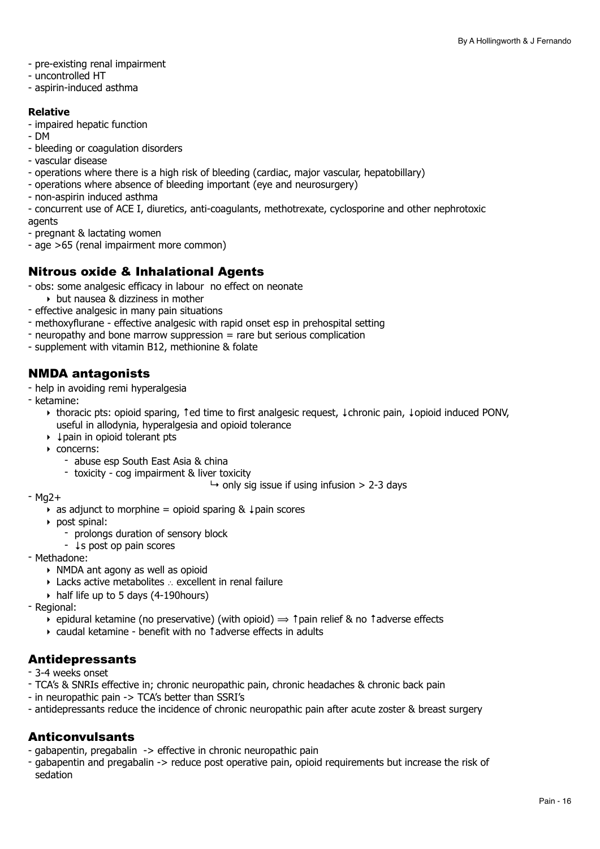- pre-existing renal impairment
- uncontrolled HT
- aspirin-induced asthma

#### **Relative**

- impaired hepatic function
- DM
- bleeding or coagulation disorders
- vascular disease
- operations where there is a high risk of bleeding (cardiac, major vascular, hepatobillary)
- operations where absence of bleeding important (eye and neurosurgery)
- non-aspirin induced asthma
- concurrent use of ACE I, diuretics, anti-coagulants, methotrexate, cyclosporine and other nephrotoxic agents
- pregnant & lactating women
- age >65 (renal impairment more common)

## Nitrous oxide & Inhalational Agents

- obs: some analgesic efficacy in labour no effect on neonate
	- ‣ but nausea & dizziness in mother
- effective analgesic in many pain situations
- methoxyflurane effective analgesic with rapid onset esp in prehospital setting
- neuropathy and bone marrow suppression = rare but serious complication
- supplement with vitamin B12, methionine & folate

## NMDA antagonists

- help in avoiding remi hyperalgesia
- ketamine:
	- ‣ thoracic pts: opioid sparing, ↑ed time to first analgesic request, ↓chronic pain, ↓opioid induced PONV, useful in allodynia, hyperalgesia and opioid tolerance
	- ‣ ↓pain in opioid tolerant pts
	- ‣ concerns:
		- abuse esp South East Asia & china
		- toxicity cog impairment & liver toxicity

```
\mapsto only sig issue if using infusion > 2-3 days
```
- Mg2+
	- ‣ as adjunct to morphine = opioid sparing & ↓pain scores
	- ‣ post spinal:
		- prolongs duration of sensory block
	- ↓s post op pain scores
- Methadone:
	- ‣ NMDA ant agony as well as opioid
	- ‣ Lacks active metabolites ∴ excellent in renal failure
	- ‣ half life up to 5 days (4-190hours)
- Regional:
	- $\rightarrow$  epidural ketamine (no preservative) (with opioid)  $\rightarrow$  ↑pain relief & no ↑adverse effects
	- ‣ caudal ketamine benefit with no ↑adverse effects in adults

### Antidepressants

- 3-4 weeks onset
- TCA's & SNRIs effective in; chronic neuropathic pain, chronic headaches & chronic back pain
- in neuropathic pain -> TCA's better than SSRI's
- antidepressants reduce the incidence of chronic neuropathic pain after acute zoster & breast surgery

### Anticonvulsants

- gabapentin, pregabalin -> effective in chronic neuropathic pain
- gabapentin and pregabalin -> reduce post operative pain, opioid requirements but increase the risk of sedation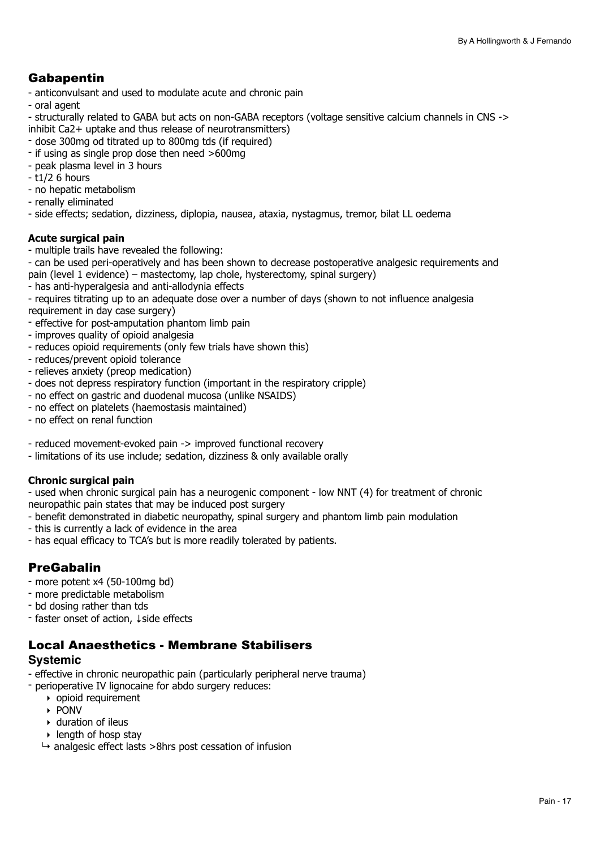# Gabapentin

- anticonvulsant and used to modulate acute and chronic pain
- oral agent

- structurally related to GABA but acts on non-GABA receptors (voltage sensitive calcium channels in CNS -> inhibit Ca2+ uptake and thus release of neurotransmitters)

- dose 300mg od titrated up to 800mg tds (if required)
- if using as single prop dose then need >600mg
- peak plasma level in 3 hours
- t1/2 6 hours
- no hepatic metabolism
- renally eliminated

- side effects; sedation, dizziness, diplopia, nausea, ataxia, nystagmus, tremor, bilat LL oedema

#### **Acute surgical pain**

- multiple trails have revealed the following:

- can be used peri-operatively and has been shown to decrease postoperative analgesic requirements and pain (level 1 evidence) – mastectomy, lap chole, hysterectomy, spinal surgery)

- has anti-hyperalgesia and anti-allodynia effects

- requires titrating up to an adequate dose over a number of days (shown to not influence analgesia requirement in day case surgery)

- effective for post-amputation phantom limb pain
- improves quality of opioid analgesia
- reduces opioid requirements (only few trials have shown this)
- reduces/prevent opioid tolerance
- relieves anxiety (preop medication)
- does not depress respiratory function (important in the respiratory cripple)
- no effect on gastric and duodenal mucosa (unlike NSAIDS)
- no effect on platelets (haemostasis maintained)
- no effect on renal function
- reduced movement-evoked pain -> improved functional recovery
- limitations of its use include; sedation, dizziness & only available orally

#### **Chronic surgical pain**

- used when chronic surgical pain has a neurogenic component - low NNT (4) for treatment of chronic neuropathic pain states that may be induced post surgery

- benefit demonstrated in diabetic neuropathy, spinal surgery and phantom limb pain modulation
- this is currently a lack of evidence in the area
- has equal efficacy to TCA's but is more readily tolerated by patients.

### PreGabalin

- more potent x4 (50-100mg bd)
- more predictable metabolism
- bd dosing rather than tds
- faster onset of action, ↓side effects

# Local Anaesthetics - Membrane Stabilisers

#### **Systemic**

- effective in chronic neuropathic pain (particularly peripheral nerve trauma)
- perioperative IV lignocaine for abdo surgery reduces:
	- $\rightarrow$  opioid requirement
	- ‣ PONV
	- ‣ duration of ileus
	- ‣ length of hosp stay
	- $\rightarrow$  analgesic effect lasts >8hrs post cessation of infusion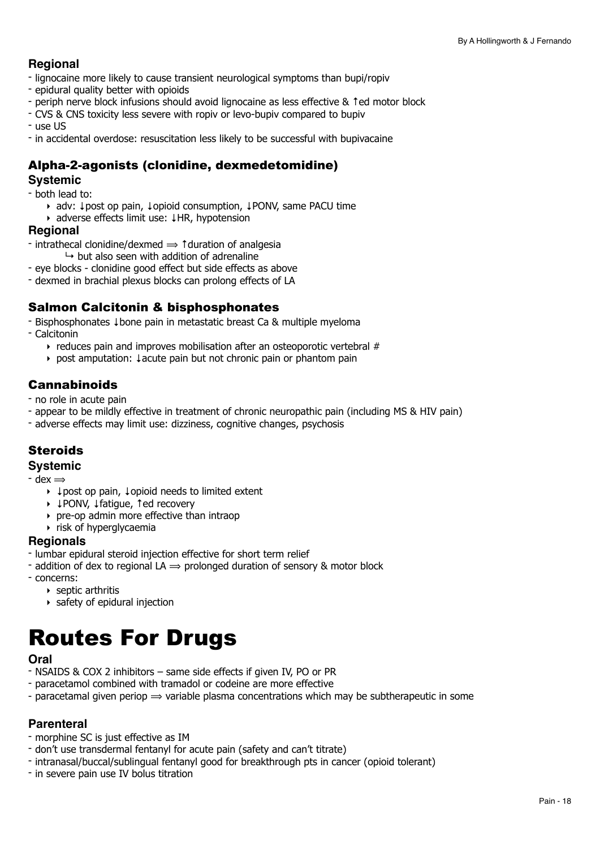## **Regional**

- lignocaine more likely to cause transient neurological symptoms than bupi/ropiv
- epidural quality better with opioids
- periph nerve block infusions should avoid lignocaine as less effective & ↑ed motor block
- CVS & CNS toxicity less severe with ropiv or levo-bupiv compared to bupiv
- use US
- in accidental overdose: resuscitation less likely to be successful with bupivacaine

# Alpha-2-agonists (clonidine, dexmedetomidine)

#### **Systemic**

- both lead to:

- ‣ adv: ↓post op pain, ↓opioid consumption, ↓PONV, same PACU time
- ‣ adverse effects limit use: ↓HR, hypotension

#### **Regional**

- intrathecal clonidine/dexmed ⟹ ↑duration of analgesia

 $\rightarrow$  but also seen with addition of adrenaline

- eye blocks clonidine good effect but side effects as above
- dexmed in brachial plexus blocks can prolong effects of LA

# Salmon Calcitonin & bisphosphonates

- Bisphosphonates ↓bone pain in metastatic breast Ca & multiple myeloma

- Calcitonin

- ‣ reduces pain and improves mobilisation after an osteoporotic vertebral #
- ‣ post amputation: ↓acute pain but not chronic pain or phantom pain

## Cannabinoids

- no role in acute pain

- appear to be mildly effective in treatment of chronic neuropathic pain (including MS & HIV pain)
- adverse effects may limit use: dizziness, cognitive changes, psychosis

# **Steroids**

### **Systemic**

 $-$  dex  $\Rightarrow$ 

- ‣ ↓post op pain, ↓opioid needs to limited extent
- ‣ ↓PONV, ↓fatigue, ↑ed recovery
- ‣ pre-op admin more effective than intraop
- ‣ risk of hyperglycaemia

#### **Regionals**

- lumbar epidural steroid injection effective for short term relief
- addition of dex to regional LA  $\Rightarrow$  prolonged duration of sensory & motor block
- concerns:
	- $\rightarrow$  septic arthritis
	- ‣ safety of epidural injection

# <span id="page-17-0"></span>Routes For Drugs

#### **Oral**

- NSAIDS & COX 2 inhibitors same side effects if given IV, PO or PR
- paracetamol combined with tramadol or codeine are more effective
- paracetamal given periop  $\Rightarrow$  variable plasma concentrations which may be subtherapeutic in some

#### **Parenteral**

- morphine SC is just effective as IM
- don't use transdermal fentanyl for acute pain (safety and can't titrate)
- intranasal/buccal/sublingual fentanyl good for breakthrough pts in cancer (opioid tolerant)
- in severe pain use IV bolus titration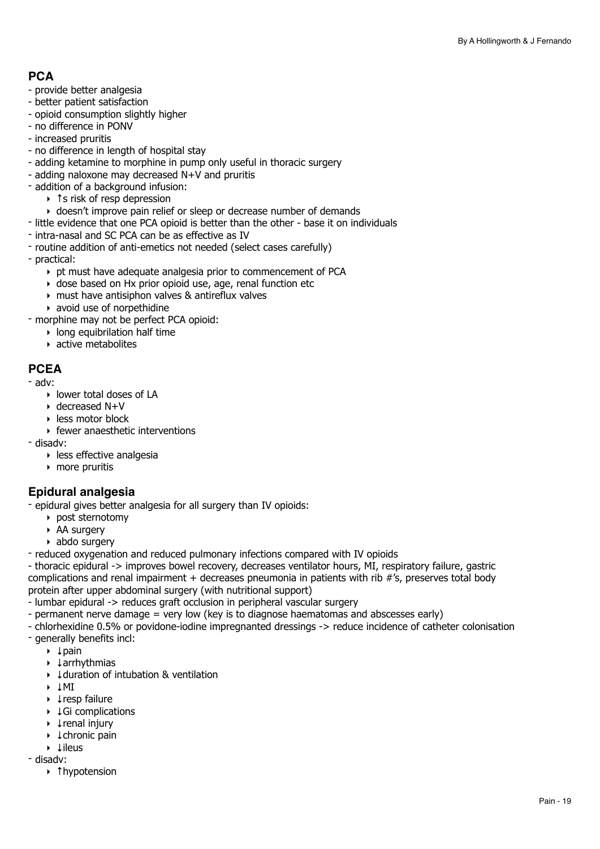# **PCA**

- provide better analgesia
- better patient satisfaction
- opioid consumption slightly higher
- no difference in PONV
- increased pruritis
- no difference in length of hospital stay
- adding ketamine to morphine in pump only useful in thoracic surgery
- adding naloxone may decreased N+V and pruritis
- addition of a background infusion:
	- ‣ ↑s risk of resp depression
	- ‣ doesn't improve pain relief or sleep or decrease number of demands
- little evidence that one PCA opioid is better than the other base it on individuals
- intra-nasal and SC PCA can be as effective as IV
- routine addition of anti-emetics not needed (select cases carefully)
- practical:
	- ‣ pt must have adequate analgesia prior to commencement of PCA
	- ‣ dose based on Hx prior opioid use, age, renal function etc
	- ‣ must have antisiphon valves & antireflux valves
	- ‣ avoid use of norpethidine

- morphine may not be perfect PCA opioid:

- $\blacktriangleright$  long equibrilation half time
- ‣ active metabolites

### **PCEA**

- adv:
	- ‣ lower total doses of LA
	- ‣ decreased N+V
	- ‣ less motor block
	- ‣ fewer anaesthetic interventions
- disadv:
	- ‣ less effective analgesia
	- ‣ more pruritis

### **Epidural analgesia**

- epidural gives better analgesia for all surgery than IV opioids:

- ‣ post sternotomy
- ‣ AA surgery
- ‣ abdo surgery
- reduced oxygenation and reduced pulmonary infections compared with IV opioids
- thoracic epidural -> improves bowel recovery, decreases ventilator hours, MI, respiratory failure, gastric complications and renal impairment + decreases pneumonia in patients with rib #'s, preserves total body protein after upper abdominal surgery (with nutritional support)
- lumbar epidural -> reduces graft occlusion in peripheral vascular surgery
- permanent nerve damage = very low (key is to diagnose haematomas and abscesses early)
- chlorhexidine 0.5% or povidone-iodine impregnanted dressings -> reduce incidence of catheter colonisation - generally benefits incl:
	- ‣ ↓pain
	- ‣ ↓arrhythmias
	- ‣ ↓duration of intubation & ventilation
	- ‣ ↓MI
	- ‣ ↓resp failure
	- ‣ ↓Gi complications
	- ‣ ↓renal injury
	- ‣ ↓chronic pain
	- ‣ ↓ileus
- disadv:
	- ‣ ↑hypotension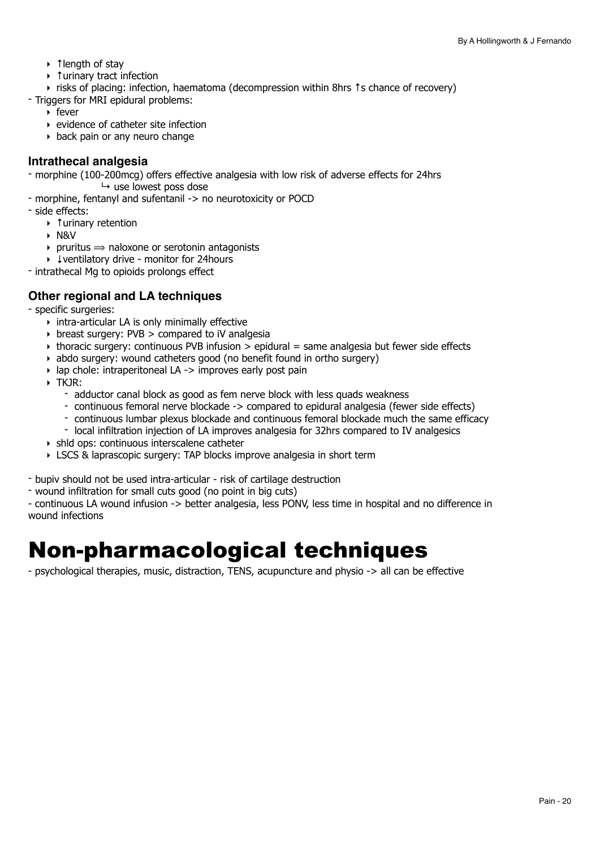- ‣ ↑length of stay
- ‣ ↑urinary tract infection

‣ risks of placing: infection, haematoma (decompression within 8hrs ↑s chance of recovery)

- Triggers for MRI epidural problems:
	- ‣ fever
	- ‣ evidence of catheter site infection
	- ‣ back pain or any neuro change

#### **Intrathecal analgesia**

- morphine (100-200mcg) offers effective analgesia with low risk of adverse effects for 24hrs  $ightharpoonup$  use lowest poss dose

- morphine, fentanyl and sufentanil -> no neurotoxicity or POCD
- side effects:
	- ‣ ↑urinary retention
	- ‣ N&V
	- $\rightarrow$  pruritus  $\rightarrow$  naloxone or serotonin antagonists
	- ‣ ↓ventilatory drive monitor for 24hours
- intrathecal Mg to opioids prolongs effect

## **Other regional and LA techniques**

- specific surgeries:
	- ‣ intra-articular LA is only minimally effective
	- $\rightarrow$  breast surgery: PVB  $>$  compared to iV analgesia
	- ‣ thoracic surgery: continuous PVB infusion > epidural = same analgesia but fewer side effects
	- ‣ abdo surgery: wound catheters good (no benefit found in ortho surgery)
	- $\rightarrow$  lap chole: intraperitoneal LA -> improves early post pain
	- ‣ TKJR:
		- adductor canal block as good as fem nerve block with less quads weakness
		- continuous femoral nerve blockade -> compared to epidural analgesia (fewer side effects)
		- continuous lumbar plexus blockade and continuous femoral blockade much the same efficacy
		- local infiltration injection of LA improves analgesia for 32hrs compared to IV analgesics
	- ‣ shld ops: continuous interscalene catheter
	- ‣ LSCS & laprascopic surgery: TAP blocks improve analgesia in short term
- bupiv should not be used intra-articular risk of cartilage destruction
- wound infiltration for small cuts good (no point in big cuts)

- continuous LA wound infusion -> better analgesia, less PONV, less time in hospital and no difference in wound infections

# <span id="page-19-0"></span>Non-pharmacological techniques

- psychological therapies, music, distraction, TENS, acupuncture and physio -> all can be effective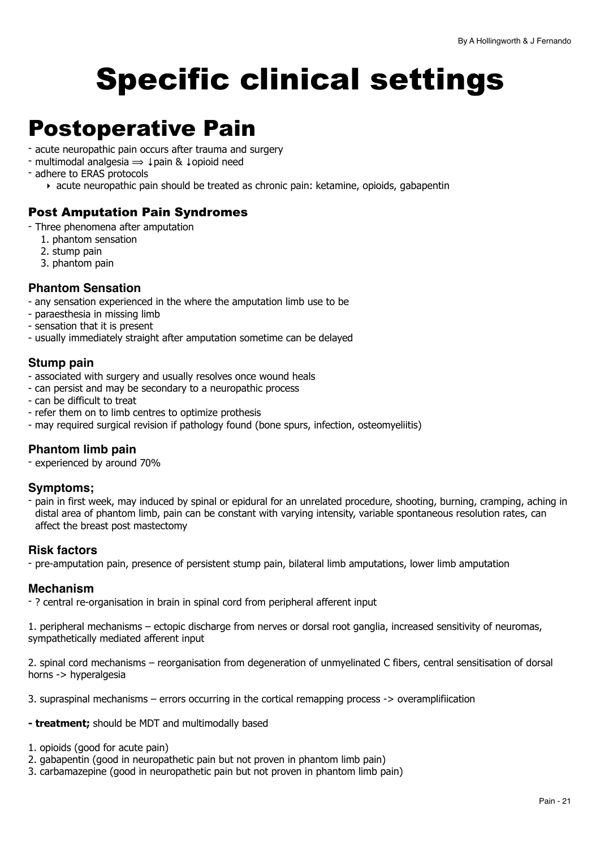# <span id="page-20-0"></span>Specific clinical settings

# <span id="page-20-1"></span>Postoperative Pain

- acute neuropathic pain occurs after trauma and surgery
- multimodal analgesia ⟹ ↓pain & ↓opioid need
- adhere to ERAS protocols
	- ‣ acute neuropathic pain should be treated as chronic pain: ketamine, opioids, gabapentin

### Post Amputation Pain Syndromes

- Three phenomena after amputation
	- 1. phantom sensation
	- 2. stump pain
	- 3. phantom pain

### **Phantom Sensation**

- any sensation experienced in the where the amputation limb use to be
- paraesthesia in missing limb
- sensation that it is present
- usually immediately straight after amputation sometime can be delayed

### **Stump pain**

- associated with surgery and usually resolves once wound heals
- can persist and may be secondary to a neuropathic process
- can be difficult to treat
- refer them on to limb centres to optimize prothesis
- may required surgical revision if pathology found (bone spurs, infection, osteomyeliitis)

# **Phantom limb pain**

- experienced by around 70%

### **Symptoms;**

- pain in first week, may induced by spinal or epidural for an unrelated procedure, shooting, burning, cramping, aching in distal area of phantom limb, pain can be constant with varying intensity, variable spontaneous resolution rates, can affect the breast post mastectomy

#### **Risk factors**

- pre-amputation pain, presence of persistent stump pain, bilateral limb amputations, lower limb amputation

### **Mechanism**

- ? central re-organisation in brain in spinal cord from peripheral afferent input

1. peripheral mechanisms – ectopic discharge from nerves or dorsal root ganglia, increased sensitivity of neuromas, sympathetically mediated afferent input

2. spinal cord mechanisms – reorganisation from degeneration of unmyelinated C fibers, central sensitisation of dorsal horns -> hyperalgesia

3. supraspinal mechanisms – errors occurring in the cortical remapping process -> overamplifiication

- **treatment;** should be MDT and multimodally based
- 1. opioids (good for acute pain)
- 2. gabapentin (good in neuropathetic pain but not proven in phantom limb pain)
- 3. carbamazepine (good in neuropathetic pain but not proven in phantom limb pain)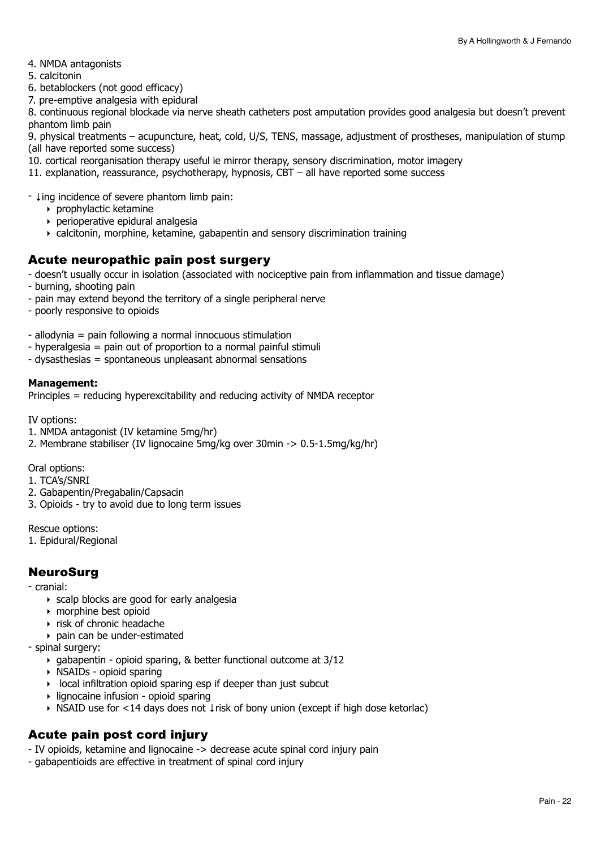- 4. NMDA antagonists
- 5. calcitonin
- 6. betablockers (not good efficacy)
- 7. pre-emptive analgesia with epidural

8. continuous regional blockade via nerve sheath catheters post amputation provides good analgesia but doesn't prevent phantom limb pain

9. physical treatments – acupuncture, heat, cold, U/S, TENS, massage, adjustment of prostheses, manipulation of stump (all have reported some success)

- 10. cortical reorganisation therapy useful ie mirror therapy, sensory discrimination, motor imagery
- 11. explanation, reassurance, psychotherapy, hypnosis, CBT all have reported some success

- ↓ing incidence of severe phantom limb pain:

- ‣ prophylactic ketamine
- ‣ perioperative epidural analgesia
- ‣ calcitonin, morphine, ketamine, gabapentin and sensory discrimination training

## Acute neuropathic pain post surgery

- doesn't usually occur in isolation (associated with nociceptive pain from inflammation and tissue damage)
- burning, shooting pain
- pain may extend beyond the territory of a single peripheral nerve
- poorly responsive to opioids

- allodynia = pain following a normal innocuous stimulation

- hyperalgesia = pain out of proportion to a normal painful stimuli
- dysasthesias = spontaneous unpleasant abnormal sensations

#### **Management:**

Principles = reducing hyperexcitability and reducing activity of NMDA receptor

IV options:

- 1. NMDA antagonist (IV ketamine 5mg/hr)
- 2. Membrane stabiliser (IV lignocaine 5mg/kg over 30min -> 0.5-1.5mg/kg/hr)

Oral options:

- 1. TCA's/SNRI
- 2. Gabapentin/Pregabalin/Capsacin
- 3. Opioids try to avoid due to long term issues

Rescue options:

1. Epidural/Regional

### NeuroSurg

- cranial:

- ‣ scalp blocks are good for early analgesia
- ‣ morphine best opioid
- ‣ risk of chronic headache
- ‣ pain can be under-estimated
- spinal surgery:
	- ‣ gabapentin opioid sparing, & better functional outcome at 3/12
	- ‣ NSAIDs opioid sparing
	- $\rightarrow$  local infiltration opioid sparing esp if deeper than just subcut
	- ‣ lignocaine infusion opioid sparing
	- ‣ NSAID use for <14 days does not ↓risk of bony union (except if high dose ketorlac)

# Acute pain post cord injury

- IV opioids, ketamine and lignocaine -> decrease acute spinal cord injury pain

- gabapentioids are effective in treatment of spinal cord injury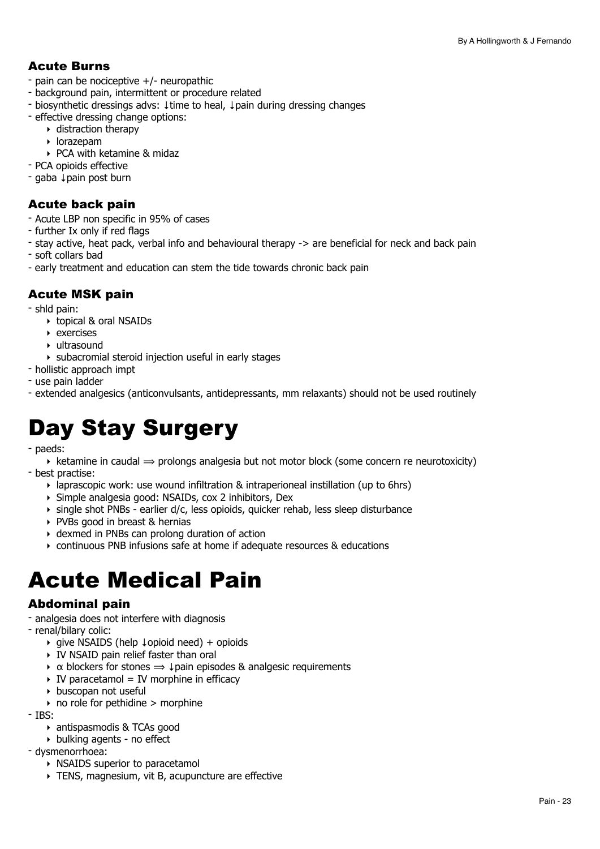# Acute Burns

- pain can be nociceptive +/- neuropathic
- background pain, intermittent or procedure related
- biosynthetic dressings advs: ↓time to heal, ↓pain during dressing changes
- effective dressing change options:
	- ‣ distraction therapy
	- ‣ lorazepam
	- ‣ PCA with ketamine & midaz
- PCA opioids effective
- gaba ↓pain post burn

# Acute back pain

- Acute LBP non specific in 95% of cases
- further Ix only if red flags
- stay active, heat pack, verbal info and behavioural therapy -> are beneficial for neck and back pain
- soft collars bad
- early treatment and education can stem the tide towards chronic back pain

# Acute MSK pain

- shld pain:
	- ‣ topical & oral NSAIDs
	- ‣ exercises
	- ‣ ultrasound
	- ‣ subacromial steroid injection useful in early stages
- hollistic approach impt
- use pain ladder
- extended analgesics (anticonvulsants, antidepressants, mm relaxants) should not be used routinely

# <span id="page-22-0"></span>Day Stay Surgery

- paeds:

 $\rightarrow$  ketamine in caudal  $\rightarrow$  prolongs analgesia but not motor block (some concern re neurotoxicity) - best practise:

- ‣ laprascopic work: use wound infiltration & intraperioneal instillation (up to 6hrs)
- ‣ Simple analgesia good: NSAIDs, cox 2 inhibitors, Dex
- ‣ single shot PNBs earlier d/c, less opioids, quicker rehab, less sleep disturbance
- ‣ PVBs good in breast & hernias
- ‣ dexmed in PNBs can prolong duration of action
- ‣ continuous PNB infusions safe at home if adequate resources & educations

# <span id="page-22-1"></span>Acute Medical Pain

### Abdominal pain

- analgesia does not interfere with diagnosis

- renal/bilary colic:
	- ‣ give NSAIDS (help ↓opioid need) + opioids
	- ‣ IV NSAID pain relief faster than oral
	- $\rightarrow \alpha$  blockers for stones  $\Rightarrow \downarrow$  pain episodes & analgesic requirements
	- $\rightarrow$  IV paracetamol = IV morphine in efficacy
	- ‣ buscopan not useful
	- $\rightarrow$  no role for pethidine  $>$  morphine
- IBS:
	- ‣ antispasmodis & TCAs good
	- ‣ bulking agents no effect
- dysmenorrhoea:
	- ‣ NSAIDS superior to paracetamol
	- ‣ TENS, magnesium, vit B, acupuncture are effective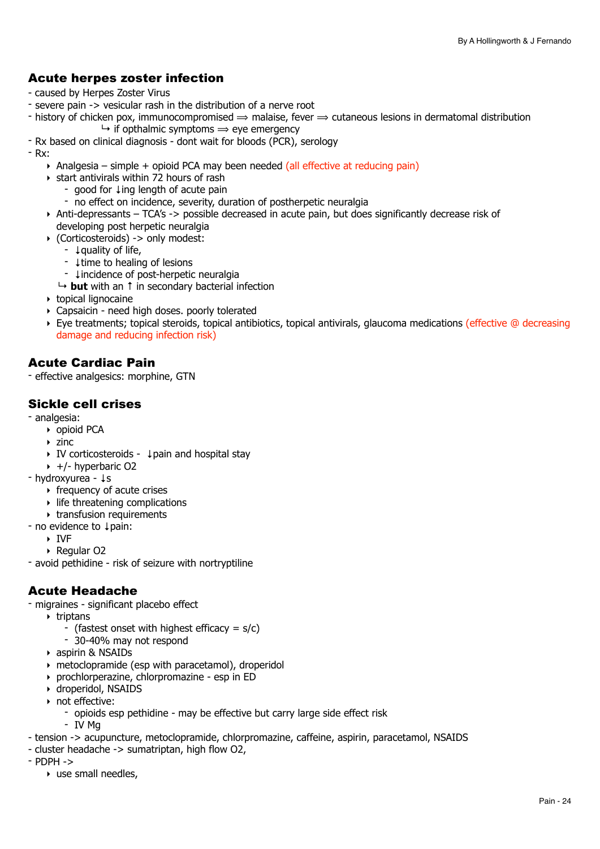# Acute herpes zoster infection

- caused by Herpes Zoster Virus
- severe pain -> vesicular rash in the distribution of a nerve root
- history of chicken pox, immunocompromised  $\Rightarrow$  malaise, fever  $\Rightarrow$  cutaneous lesions in dermatomal distribution  $\rightarrow$  if opthalmic symptoms  $\rightarrow$  eye emergency
- Rx based on clinical diagnosis dont wait for bloods (PCR), serology
- Rx:
	- $\rightarrow$  Analgesia simple + opioid PCA may been needed (all effective at reducing pain)
	- $\rightarrow$  start antivirals within 72 hours of rash
		- good for ↓ing length of acute pain
		- no effect on incidence, severity, duration of postherpetic neuralgia
	- ‣ Anti-depressants TCA's -> possible decreased in acute pain, but does significantly decrease risk of developing post herpetic neuralgia
	- ‣ (Corticosteroids) -> only modest:
		- ↓quality of life,
		- ↓time to healing of lesions
		- ↓incidence of post-herpetic neuralgia
		- ↳ **but** with an ↑ in secondary bacterial infection
	- ‣ topical lignocaine
	- ‣ Capsaicin need high doses. poorly tolerated
	- ‣ Eye treatments; topical steroids, topical antibiotics, topical antivirals, glaucoma medications (effective @ decreasing damage and reducing infection risk)

# Acute Cardiac Pain

- effective analgesics: morphine, GTN

## Sickle cell crises

- analgesia:
	- ‣ opioid PCA
	- $\rightarrow$  zinc
	- ‣ IV corticosteroids ↓pain and hospital stay
	- $\rightarrow$  +/- hyperbaric O2
- hydroxyurea ↓s
	- $\rightarrow$  frequency of acute crises
	- $\rightarrow$  life threatening complications
	- ‣ transfusion requirements
- no evidence to ↓pain:
	- ‣ IVF

‣ Regular O2

- avoid pethidine - risk of seizure with nortryptiline

# Acute Headache

- migraines significant placebo effect
	- ‣ triptans
		- (fastest onset with highest efficacy =  $s/c$ )
		- 30-40% may not respond
	- ‣ aspirin & NSAIDs
	- ‣ metoclopramide (esp with paracetamol), droperidol
	- ‣ prochlorperazine, chlorpromazine esp in ED
	- ‣ droperidol, NSAIDS
	- ‣ not effective:
		- opioids esp pethidine may be effective but carry large side effect risk
		- IV Mg
- tension -> acupuncture, metoclopramide, chlorpromazine, caffeine, aspirin, paracetamol, NSAIDS
- cluster headache -> sumatriptan, high flow O2,
- PDPH ->
	- $\triangleright$  use small needles,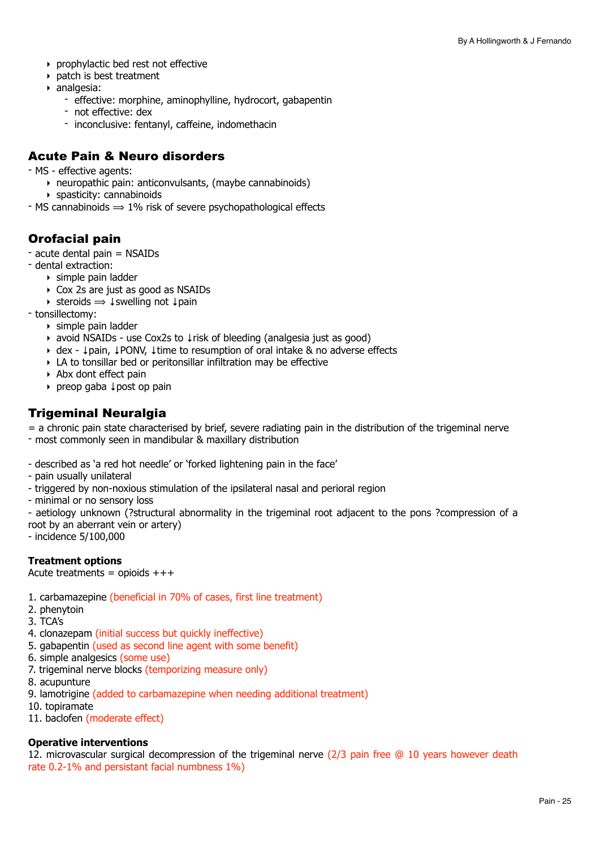- ‣ prophylactic bed rest not effective
- ‣ patch is best treatment
- ‣ analgesia:
	- effective: morphine, aminophylline, hydrocort, gabapentin
	- not effective: dex
	- inconclusive: fentanyl, caffeine, indomethacin

### Acute Pain & Neuro disorders

- MS effective agents:
	- ‣ neuropathic pain: anticonvulsants, (maybe cannabinoids)
	- ‣ spasticity: cannabinoids
- MS cannabinoids  $\Rightarrow$  1% risk of severe psychopathological effects

# Orofacial pain

- acute dental pain = NSAIDs
- dental extraction:
	- ‣ simple pain ladder
	- ‣ Cox 2s are just as good as NSAIDs
	- ‣ steroids ⟹ ↓swelling not ↓pain
- tonsillectomy:
	- ‣ simple pain ladder
	- ‣ avoid NSAIDs use Cox2s to ↓risk of bleeding (analgesia just as good)
	- ‣ dex ↓pain, ↓PONV, ↓time to resumption of oral intake & no adverse effects
	- ‣ LA to tonsillar bed or peritonsillar infiltration may be effective
	- ‣ Abx dont effect pain
	- ‣ preop gaba ↓post op pain

### Trigeminal Neuralgia

= a chronic pain state characterised by brief, severe radiating pain in the distribution of the trigeminal nerve

- most commonly seen in mandibular & maxillary distribution
- described as 'a red hot needle' or 'forked lightening pain in the face'
- pain usually unilateral
- triggered by non-noxious stimulation of the ipsilateral nasal and perioral region
- minimal or no sensory loss

- aetiology unknown (?structural abnormality in the trigeminal root adjacent to the pons ?compression of a root by an aberrant vein or artery)

- incidence 5/100,000

#### **Treatment options**

#### Acute treatments = opioids  $+++$

- 1. carbamazepine (beneficial in 70% of cases, first line treatment)
- 2. phenytoin
- 3. TCA's
- 4. clonazepam (initial success but quickly ineffective)
- 5. gabapentin (used as second line agent with some benefit)
- 6. simple analgesics (some use)
- 7. trigeminal nerve blocks (temporizing measure only)
- 8. acupunture
- 9. lamotrigine (added to carbamazepine when needing additional treatment)
- 10. topiramate
- 11. baclofen (moderate effect)

#### **Operative interventions**

12. microvascular surgical decompression of the trigeminal nerve (2/3 pain free @ 10 years however death rate 0.2-1% and persistant facial numbness 1%)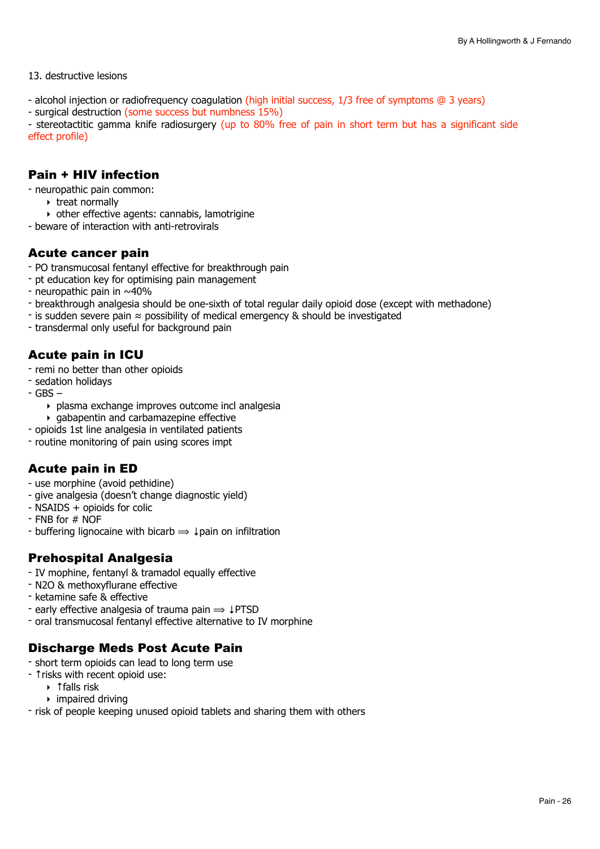#### 13. destructive lesions

- alcohol injection or radiofrequency coagulation (high initial success, 1/3 free of symptoms @ 3 years)
- surgical destruction (some success but numbness 15%)

- stereotactitic gamma knife radiosurgery (up to 80% free of pain in short term but has a significant side effect profile)

### Pain + HIV infection

- neuropathic pain common:
	- ‣ treat normally
- ‣ other effective agents: cannabis, lamotrigine
- beware of interaction with anti-retrovirals

#### Acute cancer pain

- PO transmucosal fentanyl effective for breakthrough pain
- pt education key for optimising pain management
- neuropathic pain in ~40%
- breakthrough analgesia should be one-sixth of total regular daily opioid dose (except with methadone)
- is sudden severe pain ≈ possibility of medical emergency & should be investigated
- transdermal only useful for background pain

### Acute pain in ICU

- remi no better than other opioids
- sedation holidays
- GBS
	- ‣ plasma exchange improves outcome incl analgesia
	- $\rightarrow$  gabapentin and carbamazepine effective
- opioids 1st line analgesia in ventilated patients
- routine monitoring of pain using scores impt

# Acute pain in ED

- use morphine (avoid pethidine)
- give analgesia (doesn't change diagnostic yield)
- NSAIDS + opioids for colic
- $-$  FNB for  $#$  NOF
- buffering lignocaine with bicarb  $\Rightarrow \downarrow$  pain on infiltration

# Prehospital Analgesia

- IV mophine, fentanyl & tramadol equally effective
- N2O & methoxyflurane effective
- ketamine safe & effective
- early effective analgesia of trauma pain  $\Rightarrow$   $\downarrow$ PTSD
- oral transmucosal fentanyl effective alternative to IV morphine

### Discharge Meds Post Acute Pain

- short term opioids can lead to long term use
- ↑risks with recent opioid use:
	- ‣ ↑falls risk
	- $\rightarrow$  impaired driving
- risk of people keeping unused opioid tablets and sharing them with others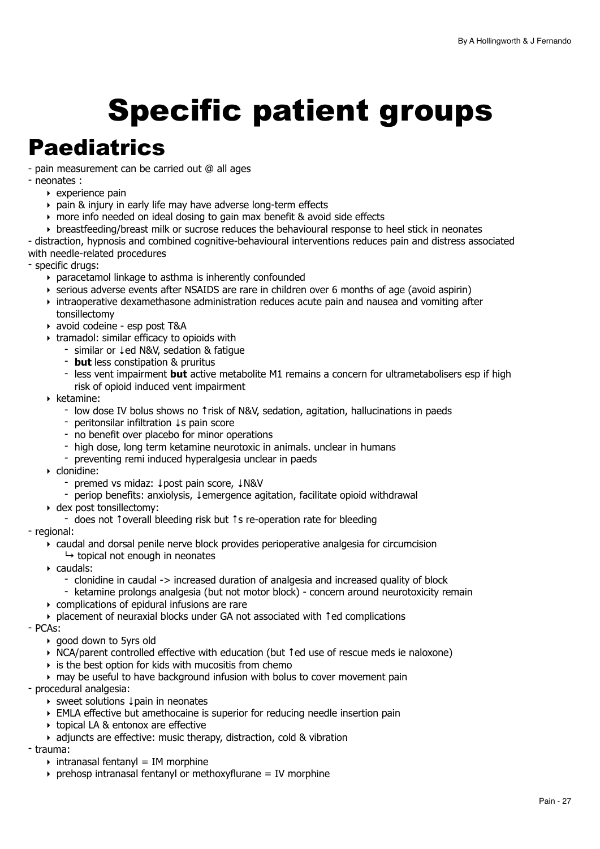# <span id="page-26-0"></span>Specific patient groups

# <span id="page-26-1"></span>**Paediatrics**

- pain measurement can be carried out @ all ages

- neonates :
	- ‣ experience pain
	- ‣ pain & injury in early life may have adverse long-term effects
	- ‣ more info needed on ideal dosing to gain max benefit & avoid side effects
	- $\rightarrow$  breastfeeding/breast milk or sucrose reduces the behavioural response to heel stick in neonates
- distraction, hypnosis and combined cognitive-behavioural interventions reduces pain and distress associated with needle-related procedures

- specific drugs:

- ‣ paracetamol linkage to asthma is inherently confounded
- ‣ serious adverse events after NSAIDS are rare in children over 6 months of age (avoid aspirin)
- ‣ intraoperative dexamethasone administration reduces acute pain and nausea and vomiting after tonsillectomy
- ‣ avoid codeine esp post T&A
- ‣ tramadol: similar efficacy to opioids with
	- similar or ↓ed N&V, sedation & fatigue
	- **but** less constipation & pruritus
	- less vent impairment **but** active metabolite M1 remains a concern for ultrametabolisers esp if high risk of opioid induced vent impairment
- ‣ ketamine:
	- low dose IV bolus shows no ↑risk of N&V, sedation, agitation, hallucinations in paeds
	- peritonsilar infiltration ↓s pain score
	- no benefit over placebo for minor operations
	- high dose, long term ketamine neurotoxic in animals. unclear in humans
	- preventing remi induced hyperalgesia unclear in paeds
- ‣ clonidine:
	- premed vs midaz: ↓post pain score, ↓N&V
	- periop benefits: anxiolysis, ↓emergence agitation, facilitate opioid withdrawal
- ‣ dex post tonsillectomy:
	- does not ↑overall bleeding risk but ↑s re-operation rate for bleeding
- regional:
	- ‣ caudal and dorsal penile nerve block provides perioperative analgesia for circumcision
		- $\mapsto$  topical not enough in neonates
	- ‣ caudals:
		- clonidine in caudal -> increased duration of analgesia and increased quality of block
		- ketamine prolongs analgesia (but not motor block) concern around neurotoxicity remain
	- ‣ complications of epidural infusions are rare
	- ‣ placement of neuraxial blocks under GA not associated with ↑ed complications
- PCAs:
	- ‣ good down to 5yrs old
	- ‣ NCA/parent controlled effective with education (but ↑ed use of rescue meds ie naloxone)
	- $\rightarrow$  is the best option for kids with mucositis from chemo
	- ‣ may be useful to have background infusion with bolus to cover movement pain
- procedural analgesia:
	- ‣ sweet solutions ↓pain in neonates
	- ‣ EMLA effective but amethocaine is superior for reducing needle insertion pain
	- ‣ topical LA & entonox are effective
	- ‣ adjuncts are effective: music therapy, distraction, cold & vibration
- trauma:
	- $\rightarrow$  intranasal fentanyl = IM morphine
	- $\rightarrow$  prehosp intranasal fentanyl or methoxyflurane = IV morphine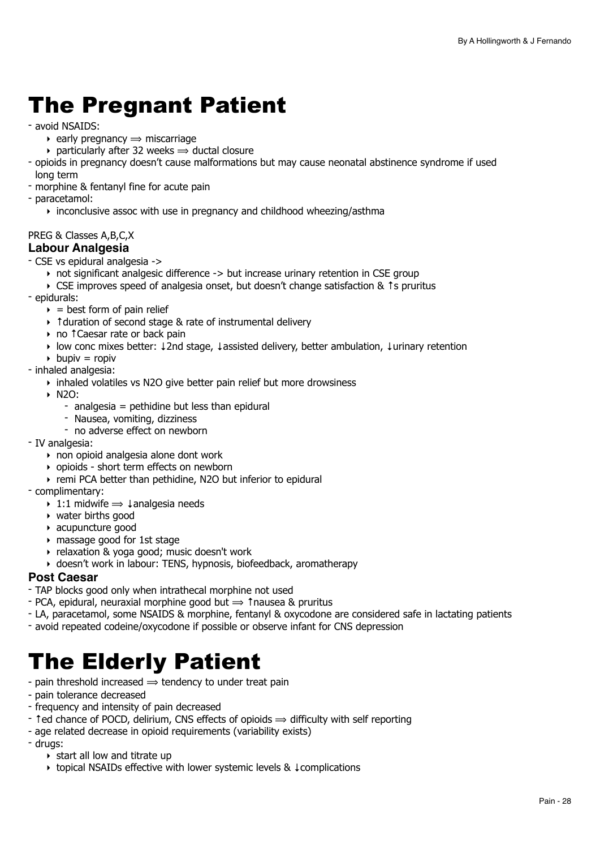# <span id="page-27-0"></span>The Pregnant Patient

- avoid NSAIDS:
	- $\rightarrow$  early pregnancy  $\rightarrow$  miscarriage
	- $\rightarrow$  particularly after 32 weeks  $\rightarrow$  ductal closure
- opioids in pregnancy doesn't cause malformations but may cause neonatal abstinence syndrome if used long term
- morphine & fentanyl fine for acute pain
- paracetamol:
	- ‣ inconclusive assoc with use in pregnancy and childhood wheezing/asthma

#### PREG & Classes A,B,C,X **Labour Analgesia**

- CSE vs epidural analgesia ->
	- ‣ not significant analgesic difference -> but increase urinary retention in CSE group
	- ‣ CSE improves speed of analgesia onset, but doesn't change satisfaction & ↑s pruritus
- epidurals:
	- $\rightarrow$  = best form of pain relief
	- ‣ ↑duration of second stage & rate of instrumental delivery
	- ‣ no ↑Caesar rate or back pain
	- ‣ low conc mixes better: ↓2nd stage, ↓assisted delivery, better ambulation, ↓urinary retention
	- $\rightarrow$  bupiv = ropiv
- inhaled analgesia:
	- ‣ inhaled volatiles vs N2O give better pain relief but more drowsiness
	- ‣ N2O:
		- $-$  analgesia = pethidine but less than epidural
		- Nausea, vomiting, dizziness
		- no adverse effect on newborn
- IV analgesia:
	- ‣ non opioid analgesia alone dont work
	- ‣ opioids short term effects on newborn
	- ‣ remi PCA better than pethidine, N2O but inferior to epidural
- complimentary:
	- $\rightarrow$  1:1 midwife  $\Rightarrow$  ⊥analgesia needs
	- ‣ water births good
	- ‣ acupuncture good
	- ‣ massage good for 1st stage
	- ‣ relaxation & yoga good; music doesn't work
- ‣ doesn't work in labour: TENS, hypnosis, biofeedback, aromatherapy

#### **Post Caesar**

- TAP blocks good only when intrathecal morphine not used
- $\sim$  PCA, epidural, neuraxial morphine good but  $\Rightarrow$  1 nausea & pruritus
- LA, paracetamol, some NSAIDS & morphine, fentanyl & oxycodone are considered safe in lactating patients
- avoid repeated codeine/oxycodone if possible or observe infant for CNS depression

# <span id="page-27-1"></span>The Elderly Patient

- pain threshold increased  $\Rightarrow$  tendency to under treat pain
- pain tolerance decreased
- frequency and intensity of pain decreased
- ↑ed chance of POCD, delirium, CNS effects of opioids ⟹ difficulty with self reporting
- age related decrease in opioid requirements (variability exists)
- drugs:
	- $\rightarrow$  start all low and titrate up
	- ‣ topical NSAIDs effective with lower systemic levels & ↓complications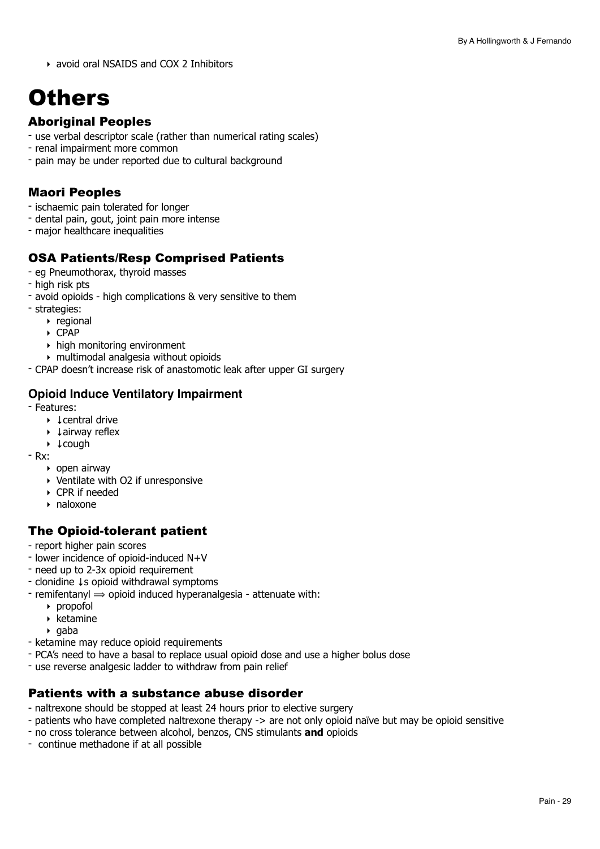‣ avoid oral NSAIDS and COX 2 Inhibitors

# <span id="page-28-0"></span>**Others**

# Aboriginal Peoples

- use verbal descriptor scale (rather than numerical rating scales)
- renal impairment more common
- pain may be under reported due to cultural background

# Maori Peoples

- ischaemic pain tolerated for longer
- dental pain, gout, joint pain more intense
- major healthcare inequalities

# OSA Patients/Resp Comprised Patients

- eg Pneumothorax, thyroid masses
- high risk pts
- avoid opioids high complications & very sensitive to them
- strategies:
	- ‣ regional
	- ‣ CPAP
	- ‣ high monitoring environment
	- ‣ multimodal analgesia without opioids
- CPAP doesn't increase risk of anastomotic leak after upper GI surgery

# **Opioid Induce Ventilatory Impairment**

- Features:
	- ‣ ↓central drive
		- ‣ ↓airway reflex
		- ‣ ↓cough
- Rx:
	- ‣ open airway
	- ‣ Ventilate with O2 if unresponsive
	- ‣ CPR if needed
	- ‣ naloxone

# The Opioid-tolerant patient

- report higher pain scores
- lower incidence of opioid-induced N+V
- need up to 2-3x opioid requirement
- clonidine ↓s opioid withdrawal symptoms
- $-$  remifentanyl  $\Rightarrow$  opioid induced hyperanalgesia attenuate with:
	- ‣ propofol
	- $\rightarrow$  ketamine
	- $\rightarrow$  gaba
- ketamine may reduce opioid requirements
- PCA's need to have a basal to replace usual opioid dose and use a higher bolus dose
- use reverse analgesic ladder to withdraw from pain relief

### Patients with a substance abuse disorder

- naltrexone should be stopped at least 24 hours prior to elective surgery
- patients who have completed naltrexone therapy -> are not only opioid naïve but may be opioid sensitive
- no cross tolerance between alcohol, benzos, CNS stimulants **and** opioids
- continue methadone if at all possible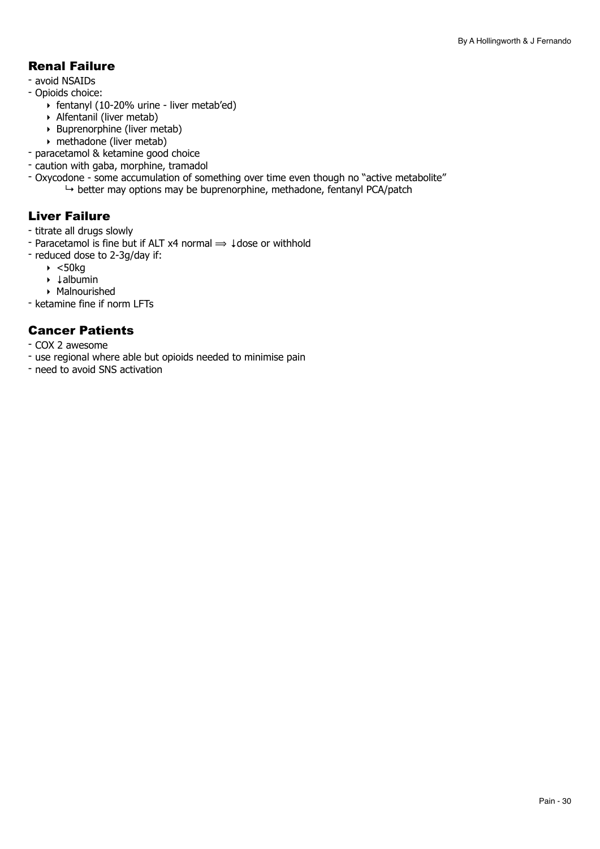# Renal Failure

- avoid NSAIDs
- Opioids choice:
	- ‣ fentanyl (10-20% urine liver metab'ed)
	- ‣ Alfentanil (liver metab)
	- $\rightarrow$  Buprenorphine (liver metab)
	- ‣ methadone (liver metab)
- paracetamol & ketamine good choice
- caution with gaba, morphine, tramadol
- Oxycodone some accumulation of something over time even though no "active metabolite"  $\rightarrow$  better may options may be buprenorphine, methadone, fentanyl PCA/patch

# Liver Failure

- titrate all drugs slowly
- Paracetamol is fine but if ALT x4 normal ⟹ ↓dose or withhold
- reduced dose to 2-3g/day if:
	- $\blacktriangleright$  <50 $kg$
	- ‣ ↓albumin
	- ‣ Malnourished
- ketamine fine if norm LFTs

# Cancer Patients

- COX 2 awesome
- use regional where able but opioids needed to minimise pain
- need to avoid SNS activation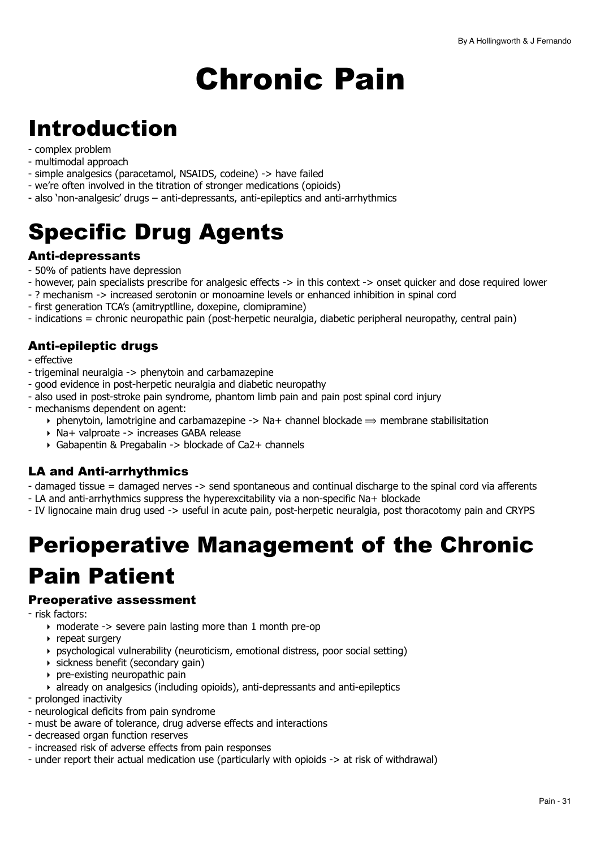# <span id="page-30-0"></span>Chronic Pain

# <span id="page-30-1"></span>Introduction

- complex problem
- multimodal approach
- simple analgesics (paracetamol, NSAIDS, codeine) -> have failed
- we're often involved in the titration of stronger medications (opioids)
- also 'non-analgesic' drugs anti-depressants, anti-epileptics and anti-arrhythmics

# <span id="page-30-2"></span>Specific Drug Agents

## Anti-depressants

- 50% of patients have depression
- however, pain specialists prescribe for analgesic effects -> in this context -> onset quicker and dose required lower
- ? mechanism -> increased serotonin or monoamine levels or enhanced inhibition in spinal cord
- first generation TCA's (amitryptlline, doxepine, clomipramine)
- indications = chronic neuropathic pain (post-herpetic neuralgia, diabetic peripheral neuropathy, central pain)

# Anti-epileptic drugs

- effective
- trigeminal neuralgia -> phenytoin and carbamazepine
- good evidence in post-herpetic neuralgia and diabetic neuropathy
- also used in post-stroke pain syndrome, phantom limb pain and pain post spinal cord injury
- mechanisms dependent on agent:
	- $\rightarrow$  phenytoin, lamotrigine and carbamazepine -> Na+ channel blockade  $\rightarrow$  membrane stabilisitation
		- ‣ Na+ valproate -> increases GABA release
		- ‣ Gabapentin & Pregabalin -> blockade of Ca2+ channels

# LA and Anti-arrhythmics

- damaged tissue = damaged nerves -> send spontaneous and continual discharge to the spinal cord via afferents

- LA and anti-arrhythmics suppress the hyperexcitability via a non-specific Na+ blockade
- IV lignocaine main drug used -> useful in acute pain, post-herpetic neuralgia, post thoracotomy pain and CRYPS

# <span id="page-30-3"></span>Perioperative Management of the Chronic Pain Patient

# Preoperative assessment

- risk factors:

- ‣ moderate -> severe pain lasting more than 1 month pre-op
- ‣ repeat surgery
- ‣ psychological vulnerability (neuroticism, emotional distress, poor social setting)
- ‣ sickness benefit (secondary gain)
- ‣ pre-existing neuropathic pain
- ‣ already on analgesics (including opioids), anti-depressants and anti-epileptics
- prolonged inactivity
- neurological deficits from pain syndrome
- must be aware of tolerance, drug adverse effects and interactions
- decreased organ function reserves
- increased risk of adverse effects from pain responses
- under report their actual medication use (particularly with opioids -> at risk of withdrawal)